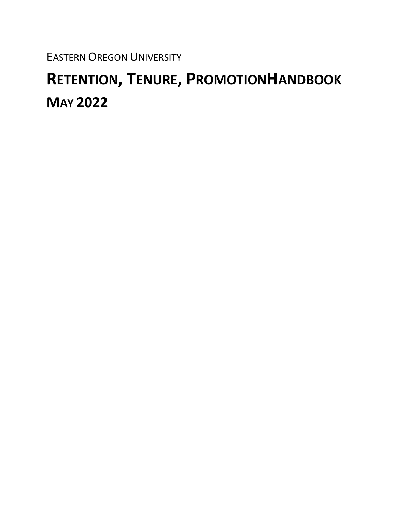EASTERN OREGON UNIVERSITY

# **RETENTION, TENURE, PROMOTIONHANDBOOK MAY 2022**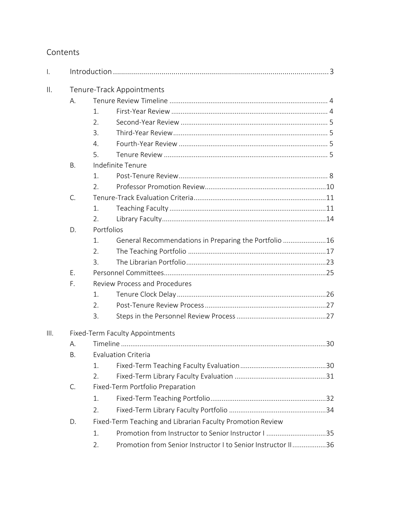# Contents

| $\mathsf{L}$    |                           |                                                            |                                                              |  |  |  |
|-----------------|---------------------------|------------------------------------------------------------|--------------------------------------------------------------|--|--|--|
| $\mathbf{II}$ . | Tenure-Track Appointments |                                                            |                                                              |  |  |  |
|                 | Α.                        |                                                            |                                                              |  |  |  |
|                 |                           | 1.                                                         |                                                              |  |  |  |
|                 |                           | 2.                                                         |                                                              |  |  |  |
|                 |                           | 3.                                                         |                                                              |  |  |  |
|                 |                           | $\mathbf{4}$ .                                             |                                                              |  |  |  |
|                 |                           | 5.                                                         |                                                              |  |  |  |
|                 | Β.                        | Indefinite Tenure                                          |                                                              |  |  |  |
|                 |                           | 1                                                          |                                                              |  |  |  |
|                 |                           | 2.                                                         |                                                              |  |  |  |
|                 | $\mathsf{C}$ .            |                                                            |                                                              |  |  |  |
|                 |                           | 1.                                                         |                                                              |  |  |  |
|                 |                           | 2.                                                         |                                                              |  |  |  |
|                 | D.                        | Portfolios                                                 |                                                              |  |  |  |
|                 |                           | 1.                                                         | General Recommendations in Preparing the Portfolio 16        |  |  |  |
|                 |                           | 2.                                                         |                                                              |  |  |  |
|                 |                           | 3.                                                         |                                                              |  |  |  |
|                 | Ε.                        |                                                            |                                                              |  |  |  |
|                 | F.                        | <b>Review Process and Procedures</b>                       |                                                              |  |  |  |
|                 |                           | 1.                                                         |                                                              |  |  |  |
|                 |                           | 2.                                                         |                                                              |  |  |  |
|                 |                           | 3.                                                         |                                                              |  |  |  |
| III.            |                           | Fixed-Term Faculty Appointments                            |                                                              |  |  |  |
|                 | А.                        |                                                            |                                                              |  |  |  |
|                 | В.                        | <b>Evaluation Criteria</b>                                 |                                                              |  |  |  |
|                 |                           | 1.                                                         |                                                              |  |  |  |
|                 |                           | 2.                                                         |                                                              |  |  |  |
|                 | C.                        | Fixed-Term Portfolio Preparation                           |                                                              |  |  |  |
|                 |                           | 1.                                                         |                                                              |  |  |  |
|                 |                           | 2.                                                         |                                                              |  |  |  |
|                 | D.                        | Fixed-Term Teaching and Librarian Faculty Promotion Review |                                                              |  |  |  |
|                 |                           | 1.                                                         | Promotion from Instructor to Senior Instructor I 35          |  |  |  |
|                 |                           | 2.                                                         | Promotion from Senior Instructor I to Senior Instructor II36 |  |  |  |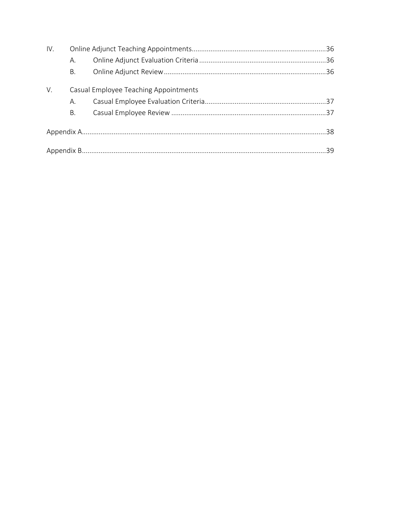| IV. |                                       |  |  |  |  |
|-----|---------------------------------------|--|--|--|--|
|     | А.                                    |  |  |  |  |
|     | Β.                                    |  |  |  |  |
| V.  | Casual Employee Teaching Appointments |  |  |  |  |
|     | А.                                    |  |  |  |  |
|     | Β.                                    |  |  |  |  |
|     |                                       |  |  |  |  |
|     |                                       |  |  |  |  |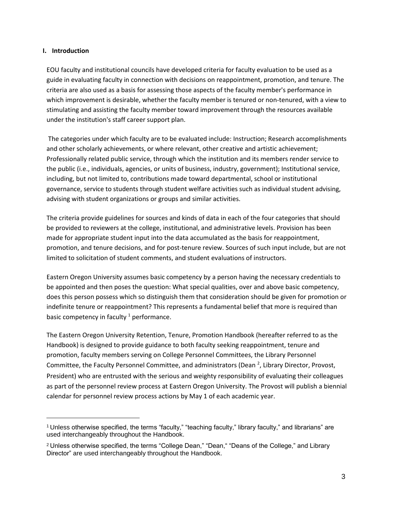# <span id="page-3-0"></span>**I. Introduction**

EOU faculty and institutional councils have developed criteria for faculty evaluation to be used as a guide in evaluating faculty in connection with decisions on reappointment, promotion, and tenure. The criteria are also used as a basis for assessing those aspects of the faculty member's performance in which improvement is desirable, whether the faculty member is tenured or non-tenured, with a view to stimulating and assisting the faculty member toward improvement through the resources available under the institution's staff career support plan.

The categories under which faculty are to be evaluated include: Instruction; Research accomplishments and other scholarly achievements, or where relevant, other creative and artistic achievement; Professionally related public service, through which the institution and its members render service to the public (i.e., individuals, agencies, or units of business, industry, government); Institutional service, including, but not limited to, contributions made toward departmental, school or institutional governance, service to students through student welfare activities such as individual student advising, advising with student organizations or groups and similar activities.

The criteria provide guidelines for sources and kinds of data in each of the four categories that should be provided to reviewers at the college, institutional, and administrative levels. Provision has been made for appropriate student input into the data accumulated as the basis for reappointment, promotion, and tenure decisions, and for post-tenure review. Sources of such input include, but are not limited to solicitation of student comments, and student evaluations of instructors.

Eastern Oregon University assumes basic competency by a person having the necessary credentials to be appointed and then poses the question: What special qualities, over and above basic competency, does this person possess which so distinguish them that consideration should be given for promotion or indefinite tenure or reappointment? This represents a fundamental belief that more is required than basic competency in faculty  $1$  performance.

The Eastern Oregon University Retention, Tenure, Promotion Handbook (hereafter referred to as the Handbook) is designed to provide guidance to both faculty seeking reappointment, tenure and promotion, faculty members serving on College Personnel Committees, the Library Personnel Committee, the Faculty Personnel Committee, and administrators (Dean <sup>2</sup>, Library Director, Provost, President) who are entrusted with the serious and weighty responsibility of evaluating their colleagues as part of the personnel review process at Eastern Oregon University. The Provost will publish a biennial calendar for personnel review process actions by May 1 of each academic year.

<sup>1</sup>Unless otherwise specified, the terms "faculty," "teaching faculty," library faculty," and librarians" are used interchangeably throughout the Handbook.

<sup>&</sup>lt;sup>2</sup> Unless otherwise specified, the terms "College Dean," "Dean," "Deans of the College," and Library Director" are used interchangeably throughout the Handbook.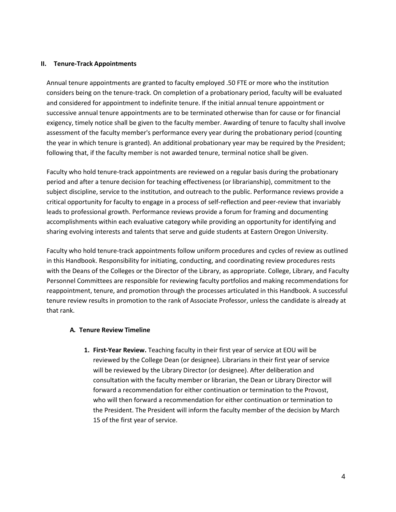## <span id="page-4-0"></span>**II. Tenure-Track Appointments**

Annual tenure appointments are granted to faculty employed .50 FTE or more who the institution considers being on the tenure-track. On completion of a probationary period, faculty will be evaluated and considered for appointment to indefinite tenure. If the initial annual tenure appointment or successive annual tenure appointments are to be terminated otherwise than for cause or for financial exigency, timely notice shall be given to the faculty member. Awarding of tenure to faculty shall involve assessment of the faculty member's performance every year during the probationary period (counting the year in which tenure is granted). An additional probationary year may be required by the President; following that, if the faculty member is not awarded tenure, terminal notice shall be given.

Faculty who hold tenure-track appointments are reviewed on a regular basis during the probationary period and after a tenure decision for teaching effectiveness (or librarianship), commitment to the subject discipline, service to the institution, and outreach to the public. Performance reviews provide a critical opportunity for faculty to engage in a process of self-reflection and peer-review that invariably leads to professional growth. Performance reviews provide a forum for framing and documenting accomplishments within each evaluative category while providing an opportunity for identifying and sharing evolving interests and talents that serve and guide students at Eastern Oregon University.

Faculty who hold tenure-track appointments follow uniform procedures and cycles of review as outlined in this Handbook. Responsibility for initiating, conducting, and coordinating review procedures rests with the Deans of the Colleges or the Director of the Library, as appropriate. College, Library, and Faculty Personnel Committees are responsible for reviewing faculty portfolios and making recommendations for reappointment, tenure, and promotion through the processes articulated in this Handbook. A successful tenure review results in promotion to the rank of Associate Professor, unless the candidate is already at that rank.

## <span id="page-4-1"></span>**A. Tenure Review Timeline**

**1. First-Year Review.** Teaching faculty in their first year of service at EOU will be reviewed by the College Dean (or designee). Librarians in their first year of service will be reviewed by the Library Director (or designee). After deliberation and consultation with the faculty member or librarian, the Dean or Library Director will forward a recommendation for either continuation or termination to the Provost, who will then forward a recommendation for either continuation or termination to the President. The President will inform the faculty member of the decision by March 15 of the first year of service.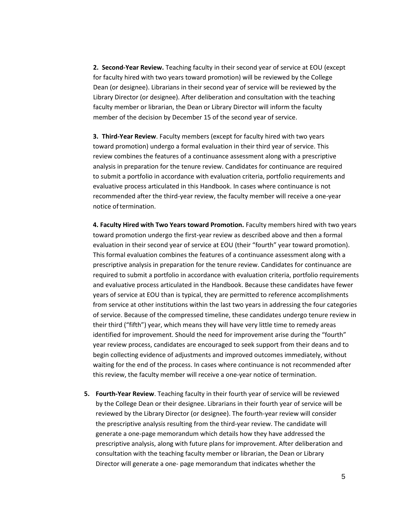**2. Second-Year Review.** Teaching faculty in their second year of service at EOU (except for faculty hired with two years toward promotion) will be reviewed by the College Dean (or designee). Librarians in their second year of service will be reviewed by the Library Director (or designee). After deliberation and consultation with the teaching faculty member or librarian, the Dean or Library Director will inform the faculty member of the decision by December 15 of the second year of service.

**3. Third-Year Review**. Faculty members (except for faculty hired with two years toward promotion) undergo a formal evaluation in their third year of service. This review combines the features of a continuance assessment along with a prescriptive analysis in preparation for the tenure review. Candidates for continuance are required to submit a portfolio in accordance with evaluation criteria, portfolio requirements and evaluative process articulated in this Handbook. In cases where continuance is not recommended after the third-year review, the faculty member will receive a one-year notice of termination.

**4. Faculty Hired with Two Years toward Promotion.** Faculty members hired with two years toward promotion undergo the first-year review as described above and then a formal evaluation in their second year of service at EOU (their "fourth" year toward promotion). This formal evaluation combines the features of a continuance assessment along with a prescriptive analysis in preparation for the tenure review. Candidates for continuance are required to submit a portfolio in accordance with evaluation criteria, portfolio requirements and evaluative process articulated in the Handbook. Because these candidates have fewer years of service at EOU than is typical, they are permitted to reference accomplishments from service at other institutions within the last two years in addressing the four categories of service. Because of the compressed timeline, these candidates undergo tenure review in their third ("fifth") year, which means they will have very little time to remedy areas identified for improvement. Should the need for improvement arise during the "fourth" year review process, candidates are encouraged to seek support from their deans and to begin collecting evidence of adjustments and improved outcomes immediately, without waiting for the end of the process. In cases where continuance is not recommended after this review, the faculty member will receive a one-year notice of termination.

**5. Fourth-Year Review**. Teaching faculty in their fourth year of service will be reviewed by the College Dean or their designee. Librarians in their fourth year of service will be reviewed by the Library Director (or designee). The fourth-year review will consider the prescriptive analysis resulting from the third-year review. The candidate will generate a one-page memorandum which details how they have addressed the prescriptive analysis, along with future plans for improvement. After deliberation and consultation with the teaching faculty member or librarian, the Dean or Library Director will generate a one- page memorandum that indicates whether the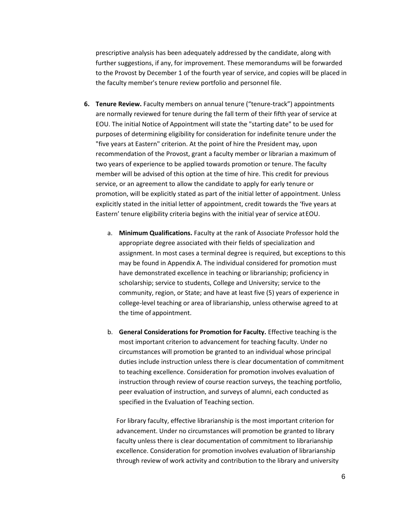prescriptive analysis has been adequately addressed by the candidate, along with further suggestions, if any, for improvement. These memorandums will be forwarded to the Provost by December 1 of the fourth year of service, and copies will be placed in the faculty member's tenure review portfolio and personnel file.

- **6. Tenure Review.** Faculty members on annual tenure ("tenure-track") appointments are normally reviewed for tenure during the fall term of their fifth year of service at EOU. The initial Notice of Appointment will state the "starting date" to be used for purposes of determining eligibility for consideration for indefinite tenure under the "five years at Eastern" criterion. At the point of hire the President may, upon recommendation of the Provost, grant a faculty member or librarian a maximum of two years of experience to be applied towards promotion or tenure. The faculty member will be advised of this option at the time of hire. This credit for previous service, or an agreement to allow the candidate to apply for early tenure or promotion, will be explicitly stated as part of the initial letter of appointment. Unless explicitly stated in the initial letter of appointment, credit towards the 'five years at Eastern' tenure eligibility criteria begins with the initial year of service atEOU.
	- a. **Minimum Qualifications.** Faculty at the rank of Associate Professor hold the appropriate degree associated with their fields of specialization and assignment. In most cases a terminal degree is required, but exceptions to this may be found in Appendix A. The individual considered for promotion must have demonstrated excellence in teaching or librarianship; proficiency in scholarship; service to students, College and University; service to the community, region, or State; and have at least five (5) years of experience in college-level teaching or area of librarianship, unless otherwise agreed to at the time of appointment.
	- b. **General Considerations for Promotion for Faculty.** Effective teaching is the most important criterion to advancement for teaching faculty. Under no circumstances will promotion be granted to an individual whose principal duties include instruction unless there is clear documentation of commitment to teaching excellence. Consideration for promotion involves evaluation of instruction through review of course reaction surveys, the teaching portfolio, peer evaluation of instruction, and surveys of alumni, each conducted as specified in the Evaluation of Teaching section.

For library faculty, effective librarianship is the most important criterion for advancement. Under no circumstances will promotion be granted to library faculty unless there is clear documentation of commitment to librarianship excellence. Consideration for promotion involves evaluation of librarianship through review of work activity and contribution to the library and university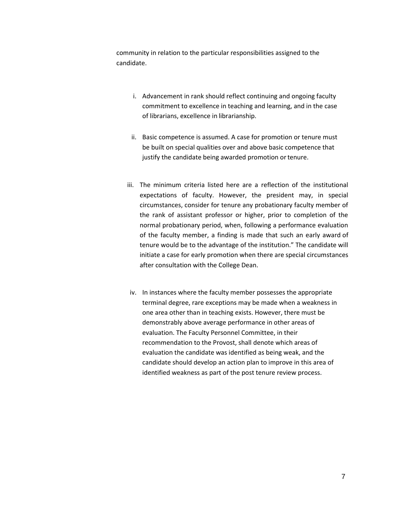community in relation to the particular responsibilities assigned to the candidate.

- i. Advancement in rank should reflect continuing and ongoing faculty commitment to excellence in teaching and learning, and in the case of librarians, excellence in librarianship.
- ii. Basic competence is assumed. A case for promotion or tenure must be built on special qualities over and above basic competence that justify the candidate being awarded promotion or tenure.
- iii. The minimum criteria listed here are a reflection of the institutional expectations of faculty. However, the president may, in special circumstances, consider for tenure any probationary faculty member of the rank of assistant professor or higher, prior to completion of the normal probationary period, when, following a performance evaluation of the faculty member, a finding is made that such an early award of tenure would be to the advantage of the institution." The candidate will initiate a case for early promotion when there are special circumstances after consultation with the College Dean.
- iv. In instances where the faculty member possesses the appropriate terminal degree, rare exceptions may be made when a weakness in one area other than in teaching exists. However, there must be demonstrably above average performance in other areas of evaluation. The Faculty Personnel Committee, in their recommendation to the Provost, shall denote which areas of evaluation the candidate was identified as being weak, and the candidate should develop an action plan to improve in this area of identified weakness as part of the post tenure review process.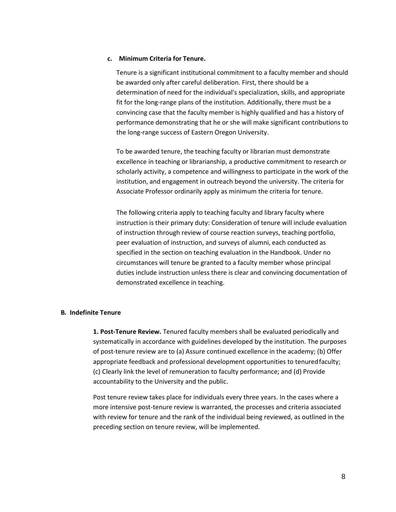## **c. Minimum Criteria for Tenure.**

Tenure is a significant institutional commitment to a faculty member and should be awarded only after careful deliberation. First, there should be a determination of need for the individual's specialization, skills, and appropriate fit for the long-range plans of the institution. Additionally, there must be a convincing case that the faculty member is highly qualified and has a history of performance demonstrating that he or she will make significant contributions to the long-range success of Eastern Oregon University.

To be awarded tenure, the teaching faculty or librarian must demonstrate excellence in teaching or librarianship, a productive commitment to research or scholarly activity, a competence and willingness to participate in the work of the institution, and engagement in outreach beyond the university. The criteria for Associate Professor ordinarily apply as minimum the criteria for tenure.

The following criteria apply to teaching faculty and library faculty where instruction is their primary duty: Consideration of tenure will include evaluation of instruction through review of course reaction surveys, teaching portfolio, peer evaluation of instruction, and surveys of alumni, each conducted as specified in the section on teaching evaluation in the Handbook. Under no circumstances will tenure be granted to a faculty member whose principal duties include instruction unless there is clear and convincing documentation of demonstrated excellence in teaching.

## <span id="page-8-0"></span>**B. Indefinite Tenure**

**1. Post-Tenure Review.** Tenured faculty members shall be evaluated periodically and systematically in accordance with guidelines developed by the institution. The purposes of post-tenure review are to (a) Assure continued excellence in the academy; (b) Offer appropriate feedback and professional development opportunities to tenuredfaculty; (c) Clearly link the level of remuneration to faculty performance; and (d) Provide accountability to the University and the public.

Post tenure review takes place for individuals every three years. In the cases where a more intensive post-tenure review is warranted, the processes and criteria associated with review for tenure and the rank of the individual being reviewed, as outlined in the preceding section on tenure review, will be implemented.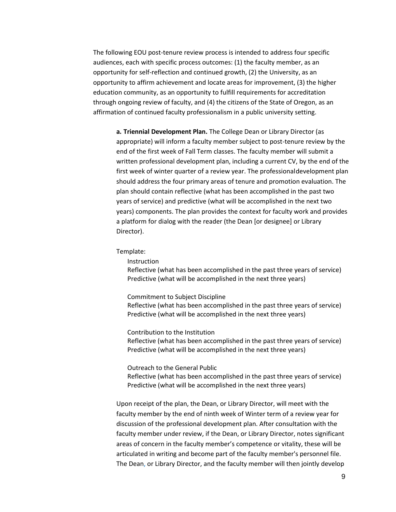The following EOU post-tenure review process is intended to address four specific audiences, each with specific process outcomes: (1) the faculty member, as an opportunity for self-reflection and continued growth, (2) the University, as an opportunity to affirm achievement and locate areas for improvement, (3) the higher education community, as an opportunity to fulfill requirements for accreditation through ongoing review of faculty, and (4) the citizens of the State of Oregon, as an affirmation of continued faculty professionalism in a public university setting.

**a. Triennial Development Plan.** The College Dean or Library Director (as appropriate) will inform a faculty member subject to post-tenure review by the end of the first week of Fall Term classes. The faculty member will submit a written professional development plan, including a current CV, by the end of the first week of winter quarter of a review year. The professionaldevelopment plan should address the four primary areas of tenure and promotion evaluation. The plan should contain reflective (what has been accomplished in the past two years of service) and predictive (what will be accomplished in the next two years) components. The plan provides the context for faculty work and provides a platform for dialog with the reader (the Dean [or designee] or Library Director).

Template:

**Instruction** 

Reflective (what has been accomplished in the past three years of service) Predictive (what will be accomplished in the next three years)

Commitment to Subject Discipline

Reflective (what has been accomplished in the past three years of service) Predictive (what will be accomplished in the next three years)

Contribution to the Institution

Reflective (what has been accomplished in the past three years of service) Predictive (what will be accomplished in the next three years)

Outreach to the General Public

Reflective (what has been accomplished in the past three years of service) Predictive (what will be accomplished in the next three years)

Upon receipt of the plan, the Dean, or Library Director, will meet with the faculty member by the end of ninth week of Winter term of a review year for discussion of the professional development plan. After consultation with the faculty member under review, if the Dean, or Library Director, notes significant areas of concern in the faculty member's competence or vitality, these will be articulated in writing and become part of the faculty member's personnel file. The Dean, or Library Director, and the faculty member will then jointly develop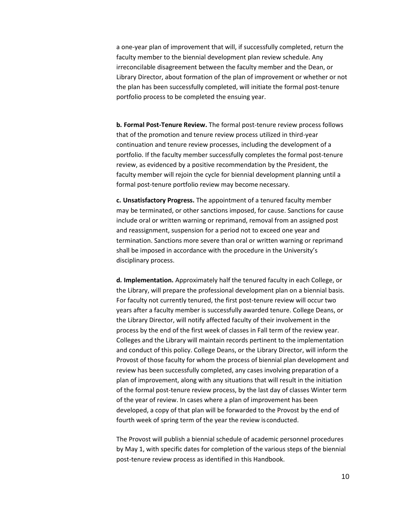a one-year plan of improvement that will, if successfully completed, return the faculty member to the biennial development plan review schedule. Any irreconcilable disagreement between the faculty member and the Dean, or Library Director, about formation of the plan of improvement or whether or not the plan has been successfully completed, will initiate the formal post-tenure portfolio process to be completed the ensuing year.

**b. Formal Post-Tenure Review.** The formal post-tenure review process follows that of the promotion and tenure review process utilized in third-year continuation and tenure review processes, including the development of a portfolio. If the faculty member successfully completes the formal post-tenure review, as evidenced by a positive recommendation by the President, the faculty member will rejoin the cycle for biennial development planning until a formal post-tenure portfolio review may become necessary.

**c. Unsatisfactory Progress.** The appointment of a tenured faculty member may be terminated, or other sanctions imposed, for cause. Sanctions for cause include oral or written warning or reprimand, removal from an assigned post and reassignment, suspension for a period not to exceed one year and termination. Sanctions more severe than oral or written warning or reprimand shall be imposed in accordance with the procedure in the University's disciplinary process.

**d. Implementation.** Approximately half the tenured faculty in each College, or the Library, will prepare the professional development plan on a biennial basis. For faculty not currently tenured, the first post-tenure review will occur two years after a faculty member is successfully awarded tenure. College Deans, or the Library Director, will notify affected faculty of their involvement in the process by the end of the first week of classes in Fall term of the review year. Colleges and the Library will maintain records pertinent to the implementation and conduct of this policy. College Deans, or the Library Director, will inform the Provost of those faculty for whom the process of biennial plan development and review has been successfully completed, any cases involving preparation of a plan of improvement, along with any situations that will result in the initiation of the formal post-tenure review process, by the last day of classes Winter term of the year of review. In cases where a plan of improvement has been developed, a copy of that plan will be forwarded to the Provost by the end of fourth week of spring term of the year the review is conducted.

The Provost will publish a biennial schedule of academic personnel procedures by May 1, with specific dates for completion of the various steps of the biennial post-tenure review process as identified in this Handbook.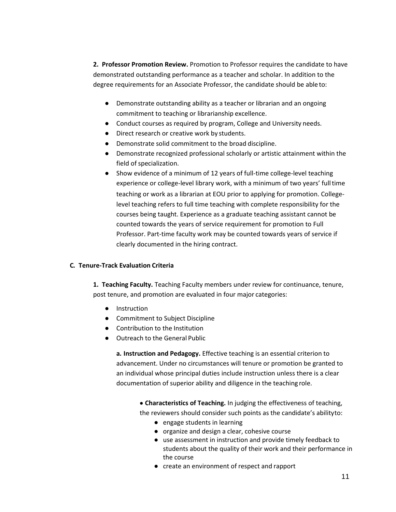**2. Professor Promotion Review.** Promotion to Professor requires the candidate to have demonstrated outstanding performance as a teacher and scholar. In addition to the degree requirements for an Associate Professor, the candidate should be able to:

- Demonstrate outstanding ability as a teacher or librarian and an ongoing commitment to teaching or librarianship excellence.
- Conduct courses as required by program, College and University needs.
- Direct research or creative work by students.
- Demonstrate solid commitment to the broad discipline.
- Demonstrate recognized professional scholarly or artistic attainment within the field of specialization.
- Show evidence of a minimum of 12 years of full-time college-level teaching experience or college-level library work, with a minimum of two years' fulltime teaching or work as a librarian at EOU prior to applying for promotion. Collegelevel teaching refers to full time teaching with complete responsibility for the courses being taught. Experience as a graduate teaching assistant cannot be counted towards the years of service requirement for promotion to Full Professor. Part-time faculty work may be counted towards years of service if clearly documented in the hiring contract.

# <span id="page-11-0"></span>**C. Tenure-Track Evaluation Criteria**

**1. Teaching Faculty.** Teaching Faculty members under review for continuance, tenure, post tenure, and promotion are evaluated in four major categories:

- Instruction
- Commitment to Subject Discipline
- Contribution to the Institution
- Outreach to the General Public

**a. Instruction and Pedagogy.** Effective teaching is an essential criterion to advancement. Under no circumstances will tenure or promotion be granted to an individual whose principal duties include instruction unless there is a clear documentation of superior ability and diligence in the teaching role.

• **Characteristics of Teaching.** In judging the effectiveness of teaching, the reviewers should consider such points as the candidate's abilityto:

- engage students in learning
- organize and design a clear, cohesive course
- use assessment in instruction and provide timely feedback to students about the quality of their work and their performance in the course
- create an environment of respect and rapport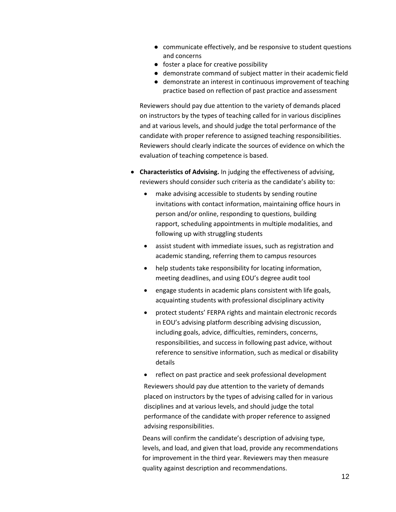- communicate effectively, and be responsive to student questions and concerns
- foster a place for creative possibility
- demonstrate command of subject matter in their academic field
- demonstrate an interest in continuous improvement of teaching practice based on reflection of past practice and assessment

Reviewers should pay due attention to the variety of demands placed on instructors by the types of teaching called for in various disciplines and at various levels, and should judge the total performance of the candidate with proper reference to assigned teaching responsibilities. Reviewers should clearly indicate the sources of evidence on which the evaluation of teaching competence is based.

- **Characteristics of Advising.** In judging the effectiveness of advising, reviewers should consider such criteria as the candidate's ability to:
	- make advising accessible to students by sending routine invitations with contact information, maintaining office hours in person and/or online, responding to questions, building rapport, scheduling appointments in multiple modalities, and following up with struggling students
	- assist student with immediate issues, such as registration and academic standing, referring them to campus resources
	- help students take responsibility for locating information, meeting deadlines, and using EOU's degree audit tool
	- engage students in academic plans consistent with life goals, acquainting students with professional disciplinary activity
	- protect students' FERPA rights and maintain electronic records in EOU's advising platform describing advising discussion, including goals, advice, difficulties, reminders, concerns, responsibilities, and success in following past advice, without reference to sensitive information, such as medical or disability details
	- reflect on past practice and seek professional development Reviewers should pay due attention to the variety of demands placed on instructors by the types of advising called for in various disciplines and at various levels, and should judge the total performance of the candidate with proper reference to assigned advising responsibilities.

Deans will confirm the candidate's description of advising type, levels, and load, and given that load, provide any recommendations for improvement in the third year. Reviewers may then measure quality against description and recommendations.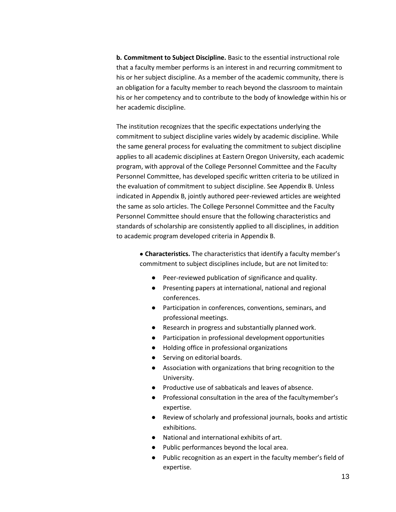**b. Commitment to Subject Discipline.** Basic to the essential instructional role that a faculty member performs is an interest in and recurring commitment to his or her subject discipline. As a member of the academic community, there is an obligation for a faculty member to reach beyond the classroom to maintain his or her competency and to contribute to the body of knowledge within his or her academic discipline.

The institution recognizes that the specific expectations underlying the commitment to subject discipline varies widely by academic discipline. While the same general process for evaluating the commitment to subject discipline applies to all academic disciplines at Eastern Oregon University, each academic program, with approval of the College Personnel Committee and the Faculty Personnel Committee, has developed specific written criteria to be utilized in the evaluation of commitment to subject discipline. See Appendix B. Unless indicated in Appendix B, jointly authored peer-reviewed articles are weighted the same as solo articles. The College Personnel Committee and the Faculty Personnel Committee should ensure that the following characteristics and standards of scholarship are consistently applied to all disciplines, in addition to academic program developed criteria in Appendix B.

> • **Characteristics.** The characteristics that identify a faculty member's commitment to subject disciplines include, but are not limited to:

- Peer-reviewed publication of significance and quality.
- Presenting papers at international, national and regional conferences.
- Participation in conferences, conventions, seminars, and professional meetings.
- Research in progress and substantially planned work.
- Participation in professional development opportunities
- Holding office in professional organizations
- Serving on editorial boards.
- Association with organizations that bring recognition to the University.
- Productive use of sabbaticals and leaves of absence.
- Professional consultation in the area of the facultymember's expertise.
- Review of scholarly and professional journals, books and artistic exhibitions.
- National and international exhibits of art.
- Public performances beyond the local area.
- Public recognition as an expert in the faculty member's field of expertise.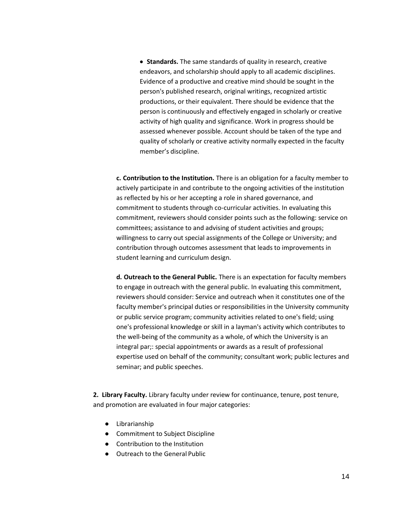• **Standards.** The same standards of quality in research, creative endeavors, and scholarship should apply to all academic disciplines. Evidence of a productive and creative mind should be sought in the person's published research, original writings, recognized artistic productions, or their equivalent. There should be evidence that the person is continuously and effectively engaged in scholarly or creative activity of high quality and significance. Work in progress should be assessed whenever possible. Account should be taken of the type and quality of scholarly or creative activity normally expected in the faculty member's discipline.

**c. Contribution to the Institution.** There is an obligation for a faculty member to actively participate in and contribute to the ongoing activities of the institution as reflected by his or her accepting a role in shared governance, and commitment to students through co-curricular activities. In evaluating this commitment, reviewers should consider points such as the following: service on committees; assistance to and advising of student activities and groups; willingness to carry out special assignments of the College or University; and contribution through outcomes assessment that leads to improvements in student learning and curriculum design.

**d. Outreach to the General Public.** There is an expectation for faculty members to engage in outreach with the general public. In evaluating this commitment, reviewers should consider: Service and outreach when it constitutes one of the faculty member's principal duties or responsibilities in the University community or public service program; community activities related to one's field; using one's professional knowledge or skill in a layman's activity which contributes to the well-being of the community as a whole, of which the University is an integral par;: special appointments or awards as a result of professional expertise used on behalf of the community; consultant work; public lectures and seminar; and public speeches.

**2. Library Faculty.** Library faculty under review for continuance, tenure, post tenure, and promotion are evaluated in four major categories:

- Librarianship
- Commitment to Subject Discipline
- Contribution to the Institution
- Outreach to the General Public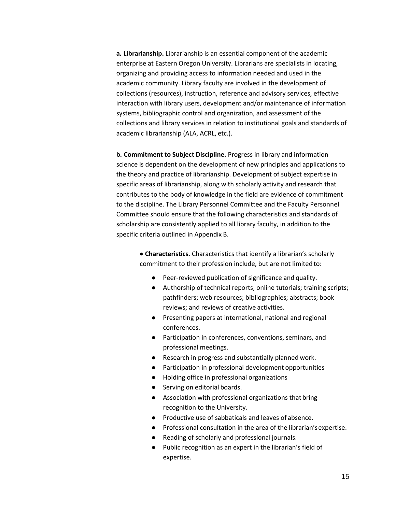**a. Librarianship.** Librarianship is an essential component of the academic enterprise at Eastern Oregon University. Librarians are specialists in locating, organizing and providing access to information needed and used in the academic community. Library faculty are involved in the development of collections (resources), instruction, reference and advisory services, effective interaction with library users, development and/or maintenance of information systems, bibliographic control and organization, and assessment of the collections and library services in relation to institutional goals and standards of academic librarianship (ALA, ACRL, etc.).

**b. Commitment to Subject Discipline.** Progress in library and information science is dependent on the development of new principles and applications to the theory and practice of librarianship. Development of subject expertise in specific areas of librarianship, along with scholarly activity and research that contributes to the body of knowledge in the field are evidence of commitment to the discipline. The Library Personnel Committee and the Faculty Personnel Committee should ensure that the following characteristics and standards of scholarship are consistently applied to all library faculty, in addition to the specific criteria outlined in Appendix B.

> • **Characteristics.** Characteristics that identify a librarian's scholarly commitment to their profession include, but are not limited to:

- Peer-reviewed publication of significance and quality.
- Authorship of technical reports; online tutorials; training scripts; pathfinders; web resources; bibliographies; abstracts; book reviews; and reviews of creative activities.
- Presenting papers at international, national and regional conferences.
- Participation in conferences, conventions, seminars, and professional meetings.
- Research in progress and substantially planned work.
- Participation in professional development opportunities
- Holding office in professional organizations
- Serving on editorial boards.
- Association with professional organizations that bring recognition to the University.
- Productive use of sabbaticals and leaves of absence.
- Professional consultation in the area of the librarian'sexpertise.
- Reading of scholarly and professional journals.
- Public recognition as an expert in the librarian's field of expertise.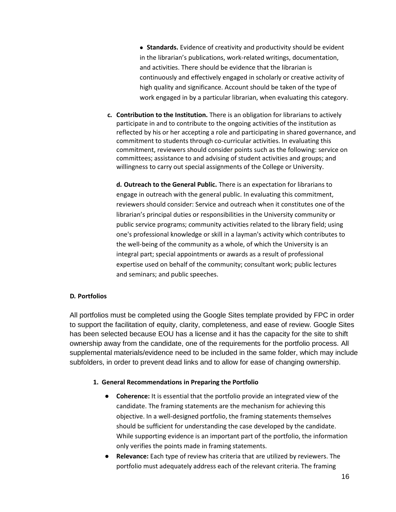• **Standards.** Evidence of creativity and productivity should be evident in the librarian's publications, work-related writings, documentation, and activities. There should be evidence that the librarian is continuously and effectively engaged in scholarly or creative activity of high quality and significance. Account should be taken of the type of work engaged in by a particular librarian, when evaluating this category.

**c. Contribution to the Institution.** There is an obligation for librarians to actively participate in and to contribute to the ongoing activities of the institution as reflected by his or her accepting a role and participating in shared governance, and commitment to students through co-curricular activities. In evaluating this commitment, reviewers should consider points such as the following: service on committees; assistance to and advising of student activities and groups; and willingness to carry out special assignments of the College or University.

**d. Outreach to the General Public.** There is an expectation for librarians to engage in outreach with the general public. In evaluating this commitment, reviewers should consider: Service and outreach when it constitutes one of the librarian's principal duties or responsibilities in the University community or public service programs; community activities related to the library field; using one's professional knowledge or skill in a layman's activity which contributes to the well-being of the community as a whole, of which the University is an integral part; special appointments or awards as a result of professional expertise used on behalf of the community; consultant work; public lectures and seminars; and public speeches.

# **D. Portfolios**

All portfolios must be completed using the Google Sites template provided by FPC in order to support the facilitation of equity, clarity, completeness, and ease of review. Google Sites has been selected because EOU has a license and it has the capacity for the site to shift ownership away from the candidate, one of the requirements for the portfolio process. All supplemental materials/evidence need to be included in the same folder, which may include subfolders, in order to prevent dead links and to allow for ease of changing ownership.

# <span id="page-16-0"></span>**1. General Recommendations in Preparing the Portfolio**

- **Coherence:** It is essential that the portfolio provide an integrated view of the candidate. The framing statements are the mechanism for achieving this objective. In a well-designed portfolio, the framing statements themselves should be sufficient for understanding the case developed by the candidate. While supporting evidence is an important part of the portfolio, the information only verifies the points made in framing statements.
- **Relevance:** Each type of review has criteria that are utilized by reviewers. The portfolio must adequately address each of the relevant criteria. The framing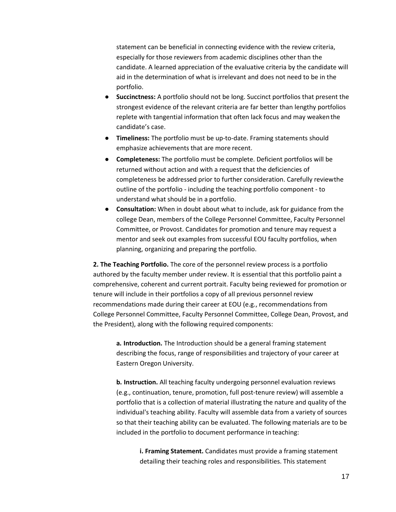statement can be beneficial in connecting evidence with the review criteria, especially for those reviewers from academic disciplines other than the candidate. A learned appreciation of the evaluative criteria by the candidate will aid in the determination of what is irrelevant and does not need to be in the portfolio.

- **Succinctness:** A portfolio should not be long. Succinct portfolios that present the strongest evidence of the relevant criteria are far better than lengthy portfolios replete with tangential information that often lack focus and may weaken the candidate's case.
- **Timeliness:** The portfolio must be up-to-date. Framing statements should emphasize achievements that are more recent.
- **Completeness:** The portfolio must be complete. Deficient portfolios will be returned without action and with a request that the deficiencies of completeness be addressed prior to further consideration. Carefully reviewthe outline of the portfolio - including the teaching portfolio component - to understand what should be in a portfolio.
- **Consultation:** When in doubt about what to include, ask for guidance from the college Dean, members of the College Personnel Committee, Faculty Personnel Committee, or Provost. Candidates for promotion and tenure may request a mentor and seek out examples from successful EOU faculty portfolios, when planning, organizing and preparing the portfolio.

**2. The Teaching Portfolio.** The core of the personnel review process is a portfolio authored by the faculty member under review. It is essential that this portfolio paint a comprehensive, coherent and current portrait. Faculty being reviewed for promotion or tenure will include in their portfolios a copy of all previous personnel review recommendations made during their career at EOU (e.g., recommendations from College Personnel Committee, Faculty Personnel Committee, College Dean, Provost, and the President), along with the following required components:

**a. Introduction.** The Introduction should be a general framing statement describing the focus, range of responsibilities and trajectory of your career at Eastern Oregon University.

**b. Instruction.** All teaching faculty undergoing personnel evaluation reviews (e.g., continuation, tenure, promotion, full post-tenure review) will assemble a portfolio that is a collection of material illustrating the nature and quality of the individual's teaching ability. Faculty will assemble data from a variety of sources so that their teaching ability can be evaluated. The following materials are to be included in the portfolio to document performance in teaching:

**i. Framing Statement.** Candidates must provide a framing statement detailing their teaching roles and responsibilities. This statement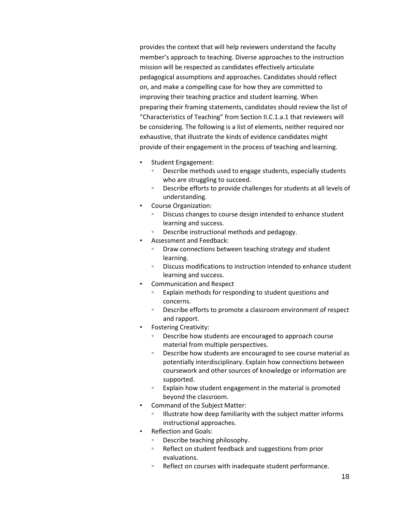provides the context that will help reviewers understand the faculty member's approach to teaching. Diverse approaches to the instruction mission will be respected as candidates effectively articulate pedagogical assumptions and approaches. Candidates should reflect on, and make a compelling case for how they are committed to improving their teaching practice and student learning. When preparing their framing statements, candidates should review the list of "Characteristics of Teaching" from Section II.C.1.a.1 that reviewers will be considering. The following is a list of elements, neither required nor exhaustive, that illustrate the kinds of evidence candidates might provide of their engagement in the process of teaching and learning.

- Student Engagement:
	- Describe methods used to engage students, especially students who are struggling to succeed.
	- Describe efforts to provide challenges for students at all levels of understanding.
- Course Organization:
	- Discuss changes to course design intended to enhance student learning and success.
	- Describe instructional methods and pedagogy.
- Assessment and Feedback:
	- Draw connections between teaching strategy and student learning.
	- Discuss modifications to instruction intended to enhance student learning and success.
- Communication and Respect
	- Explain methods for responding to student questions and concerns.
	- Describe efforts to promote a classroom environment of respect and rapport.
- Fostering Creativity:
	- Describe how students are encouraged to approach course material from multiple perspectives.
	- Describe how students are encouraged to see course material as potentially interdisciplinary. Explain how connections between coursework and other sources of knowledge or information are supported.
	- Explain how student engagement in the material is promoted beyond the classroom.
- Command of the Subject Matter:
	- Illustrate how deep familiarity with the subject matter informs instructional approaches.
- Reflection and Goals:
	- Describe teaching philosophy.
	- Reflect on student feedback and suggestions from prior evaluations.
	- Reflect on courses with inadequate student performance.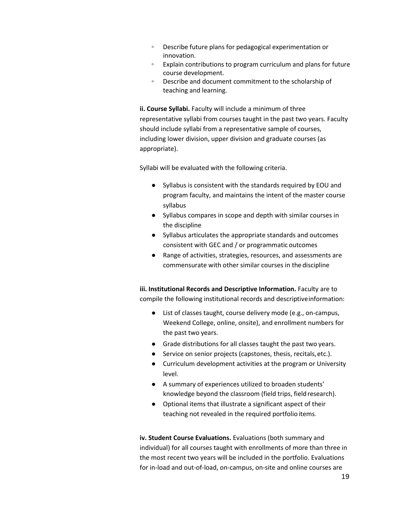- Describe future plans for pedagogical experimentation or innovation.
- Explain contributions to program curriculum and plans for future course development.
- Describe and document commitment to the scholarship of teaching and learning.

**ii. Course Syllabi.** Faculty will include a minimum of three representative syllabi from courses taught in the past two years. Faculty should include syllabi from a representative sample of courses, including lower division, upper division and graduate courses (as appropriate).

Syllabi will be evaluated with the following criteria.

- Syllabus is consistent with the standards required by EOU and program faculty, and maintains the intent of the master course syllabus
- Syllabus compares in scope and depth with similar courses in the discipline
- Syllabus articulates the appropriate standards and outcomes consistent with GEC and / or programmatic outcomes
- Range of activities, strategies, resources, and assessments are commensurate with other similar courses in the discipline

**iii. Institutional Records and Descriptive Information.** Faculty are to compile the following institutional records and descriptiveinformation:

- List of classes taught, course delivery mode (e.g., on-campus, Weekend College, online, onsite), and enrollment numbers for the past two years.
- Grade distributions for all classes taught the past two years.
- Service on senior projects (capstones, thesis, recitals,etc.).
- Curriculum development activities at the program or University level.
- A summary of experiences utilized to broaden students' knowledge beyond the classroom (field trips, field research).
- Optional items that illustrate a significant aspect of their teaching not revealed in the required portfolio items.

**iv. Student Course Evaluations.** Evaluations (both summary and individual) for all courses taught with enrollments of more than three in the most recent two years will be included in the portfolio. Evaluations for in-load and out-of-load, on-campus, on-site and online courses are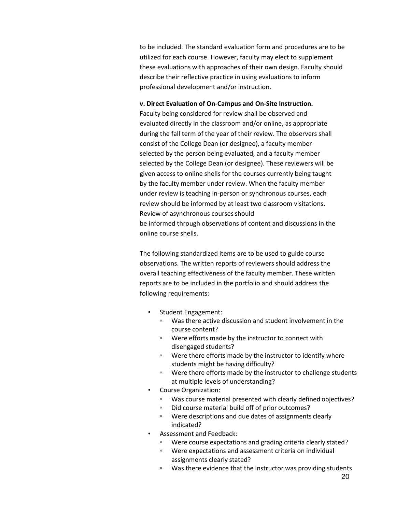to be included. The standard evaluation form and procedures are to be utilized for each course. However, faculty may elect to supplement these evaluations with approaches of their own design. Faculty should describe their reflective practice in using evaluations to inform professional development and/or instruction.

## **v. Direct Evaluation of On-Campus and On-Site Instruction.**

Faculty being considered for review shall be observed and evaluated directly in the classroom and/or online, as appropriate during the fall term of the year of their review. The observers shall consist of the College Dean (or designee), a faculty member selected by the person being evaluated, and a faculty member selected by the College Dean (or designee). These reviewers will be given access to online shells for the courses currently being taught by the faculty member under review. When the faculty member under review is teaching in-person or synchronous courses, each review should be informed by at least two classroom visitations. Review of asynchronous courses should be informed through observations of content and discussions in the online course shells.

The following standardized items are to be used to guide course observations. The written reports of reviewers should address the overall teaching effectiveness of the faculty member. These written reports are to be included in the portfolio and should address the following requirements:

- Student Engagement:
	- Was there active discussion and student involvement in the course content?
	- Were efforts made by the instructor to connect with disengaged students?
	- Were there efforts made by the instructor to identify where students might be having difficulty?
	- Were there efforts made by the instructor to challenge students at multiple levels of understanding?
- Course Organization:
	- Was course material presented with clearly defined objectives?
	- Did course material build off of prior outcomes?
	- Were descriptions and due dates of assignments clearly indicated?
- Assessment and Feedback:
	- Were course expectations and grading criteria clearly stated?
	- Were expectations and assessment criteria on individual assignments clearly stated?
	- Was there evidence that the instructor was providing students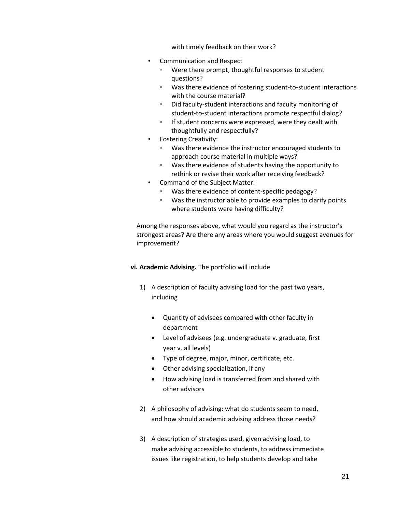with timely feedback on their work?

- Communication and Respect
	- Were there prompt, thoughtful responses to student questions?
	- Was there evidence of fostering student-to-student interactions with the course material?
	- Did faculty-student interactions and faculty monitoring of student-to-student interactions promote respectful dialog?
	- If student concerns were expressed, were they dealt with thoughtfully and respectfully?
- Fostering Creativity:
	- Was there evidence the instructor encouraged students to approach course material in multiple ways?
	- Was there evidence of students having the opportunity to rethink or revise their work after receiving feedback?
- Command of the Subject Matter:
	- Was there evidence of content-specific pedagogy?
	- Was the instructor able to provide examples to clarify points where students were having difficulty?

Among the responses above, what would you regard as the instructor's strongest areas? Are there any areas where you would suggest avenues for improvement?

## **vi. Academic Advising.** The portfolio will include

- 1) A description of faculty advising load for the past two years, including
	- Quantity of advisees compared with other faculty in department
	- Level of advisees (e.g. undergraduate v. graduate, first year v. all levels)
	- Type of degree, major, minor, certificate, etc.
	- Other advising specialization, if any
	- How advising load is transferred from and shared with other advisors
- 2) A philosophy of advising: what do students seem to need, and how should academic advising address those needs?
- 3) A description of strategies used, given advising load, to make advising accessible to students, to address immediate issues like registration, to help students develop and take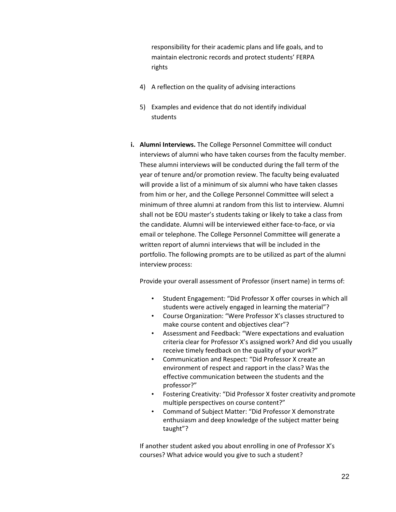responsibility for their academic plans and life goals, and to maintain electronic records and protect students' FERPA rights

- 4) A reflection on the quality of advising interactions
- 5) Examples and evidence that do not identify individual students
- **i. Alumni Interviews.** The College Personnel Committee will conduct interviews of alumni who have taken courses from the faculty member. These alumni interviews will be conducted during the fall term of the year of tenure and/or promotion review. The faculty being evaluated will provide a list of a minimum of six alumni who have taken classes from him or her, and the College Personnel Committee will select a minimum of three alumni at random from this list to interview. Alumni shall not be EOU master's students taking or likely to take a class from the candidate. Alumni will be interviewed either face-to-face, or via email or telephone. The College Personnel Committee will generate a written report of alumni interviews that will be included in the portfolio. The following prompts are to be utilized as part of the alumni interview process:

Provide your overall assessment of Professor (insert name) in terms of:

- Student Engagement: "Did Professor X offer courses in which all students were actively engaged in learning the material"?
- Course Organization: "Were Professor X's classes structured to make course content and objectives clear"?
- Assessment and Feedback: "Were expectations and evaluation criteria clear for Professor X's assigned work? And did you usually receive timely feedback on the quality of your work?"
- Communication and Respect: "Did Professor X create an environment of respect and rapport in the class? Was the effective communication between the students and the professor?"
- Fostering Creativity: "Did Professor X foster creativity and promote multiple perspectives on course content?"
- Command of Subject Matter: "Did Professor X demonstrate enthusiasm and deep knowledge of the subject matter being taught"?

If another student asked you about enrolling in one of Professor X's courses? What advice would you give to such a student?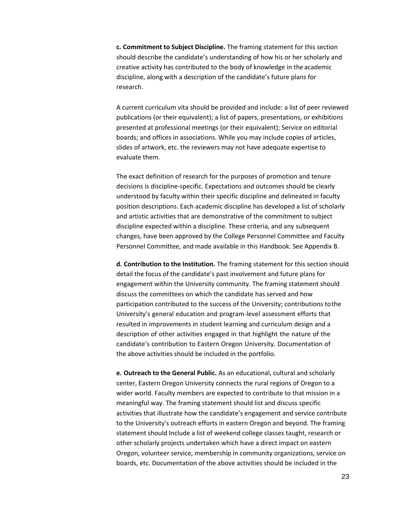**c. Commitment to Subject Discipline.** The framing statement for this section should describe the candidate's understanding of how his or her scholarly and creative activity has contributed to the body of knowledge in the academic discipline, along with a description of the candidate's future plans for research.

A current curriculum vita should be provided and include: a list of peer reviewed publications (or their equivalent); a list of papers, presentations, or exhibitions presented at professional meetings (or their equivalent); Service on editorial boards; and offices in associations. While you may include copies of articles, slides of artwork, etc. the reviewers may not have adequate expertise to evaluate them.

The exact definition of research for the purposes of promotion and tenure decisions is discipline-specific. Expectations and outcomes should be clearly understood by faculty within their specific discipline and delineated in faculty position descriptions. Each academic discipline has developed a list of scholarly and artistic activities that are demonstrative of the commitment to subject discipline expected within a discipline. These criteria, and any subsequent changes, have been approved by the College Personnel Committee and Faculty Personnel Committee, and made available in this Handbook. See Appendix B.

**d. Contribution to the Institution.** The framing statement for this section should detail the focus of the candidate's past involvement and future plans for engagement within the University community. The framing statement should discuss the committees on which the candidate has served and how participation contributed to the success of the University; contributions tothe University's general education and program-level assessment efforts that resulted in improvements in student learning and curriculum design and a description of other activities engaged in that highlight the nature of the candidate's contribution to Eastern Oregon University. Documentation of the above activities should be included in the portfolio.

**e. Outreach to the General Public.** As an educational, cultural and scholarly center, Eastern Oregon University connects the rural regions of Oregon to a wider world. Faculty members are expected to contribute to that mission in a meaningful way. The framing statement should list and discuss specific activities that illustrate how the candidate's engagement and service contribute to the University's outreach efforts in eastern Oregon and beyond. The framing statement should Include a list of weekend college classes taught, research or other scholarly projects undertaken which have a direct impact on eastern Oregon, volunteer service, membership in community organizations, service on boards, etc. Documentation of the above activities should be included in the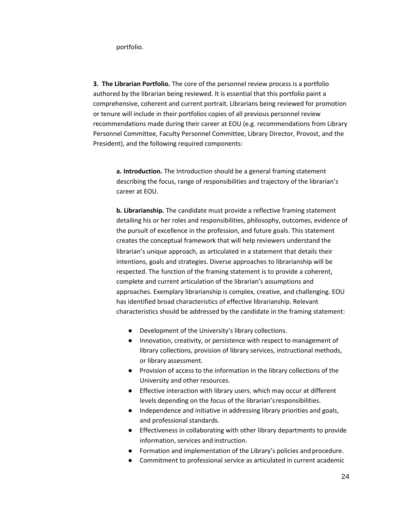portfolio.

<span id="page-24-0"></span>**3. The Librarian Portfolio.** The core of the personnel review process is a portfolio authored by the librarian being reviewed. It is essential that this portfolio paint a comprehensive, coherent and current portrait. Librarians being reviewed for promotion or tenure will include in their portfolios copies of all previous personnel review recommendations made during their career at EOU (e.g. recommendations from Library Personnel Committee, Faculty Personnel Committee, Library Director, Provost, and the President), and the following required components:

**a. Introduction.** The Introduction should be a general framing statement describing the focus, range of responsibilities and trajectory of the librarian's career at EOU.

**b. Librarianship.** The candidate must provide a reflective framing statement detailing his or her roles and responsibilities, philosophy, outcomes, evidence of the pursuit of excellence in the profession, and future goals. This statement creates the conceptual framework that will help reviewers understand the librarian's unique approach, as articulated in a statement that details their intentions, goals and strategies. Diverse approaches to librarianship will be respected. The function of the framing statement is to provide a coherent, complete and current articulation of the librarian's assumptions and approaches. Exemplary librarianship is complex, creative, and challenging. EOU has identified broad characteristics of effective librarianship. Relevant characteristics should be addressed by the candidate in the framing statement:

- Development of the University's library collections.
- Innovation, creativity, or persistence with respect to management of library collections, provision of library services, instructional methods, or library assessment.
- Provision of access to the information in the library collections of the University and other resources.
- Effective interaction with library users, which may occur at different levels depending on the focus of the librarian'sresponsibilities.
- Independence and initiative in addressing library priorities and goals, and professional standards.
- Effectiveness in collaborating with other library departments to provide information, services and instruction.
- Formation and implementation of the Library's policies and procedure.
- Commitment to professional service as articulated in current academic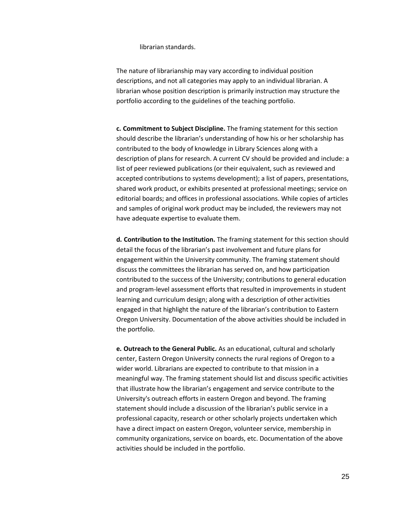librarian standards.

The nature of librarianship may vary according to individual position descriptions, and not all categories may apply to an individual librarian. A librarian whose position description is primarily instruction may structure the portfolio according to the guidelines of the teaching portfolio.

**c. Commitment to Subject Discipline.** The framing statement for this section should describe the librarian's understanding of how his or her scholarship has contributed to the body of knowledge in Library Sciences along with a description of plans for research. A current CV should be provided and include: a list of peer reviewed publications (or their equivalent, such as reviewed and accepted contributions to systems development); a list of papers, presentations, shared work product, or exhibits presented at professional meetings; service on editorial boards; and offices in professional associations. While copies of articles and samples of original work product may be included, the reviewers may not have adequate expertise to evaluate them.

**d. Contribution to the Institution.** The framing statement for this section should detail the focus of the librarian's past involvement and future plans for engagement within the University community. The framing statement should discuss the committees the librarian has served on, and how participation contributed to the success of the University; contributions to general education and program-level assessment efforts that resulted in improvements in student learning and curriculum design; along with a description of other activities engaged in that highlight the nature of the librarian's contribution to Eastern Oregon University. Documentation of the above activities should be included in the portfolio.

**e. Outreach to the General Public.** As an educational, cultural and scholarly center, Eastern Oregon University connects the rural regions of Oregon to a wider world. Librarians are expected to contribute to that mission in a meaningful way. The framing statement should list and discuss specific activities that illustrate how the librarian's engagement and service contribute to the University's outreach efforts in eastern Oregon and beyond. The framing statement should include a discussion of the librarian's public service in a professional capacity, research or other scholarly projects undertaken which have a direct impact on eastern Oregon, volunteer service, membership in community organizations, service on boards, etc. Documentation of the above activities should be included in the portfolio.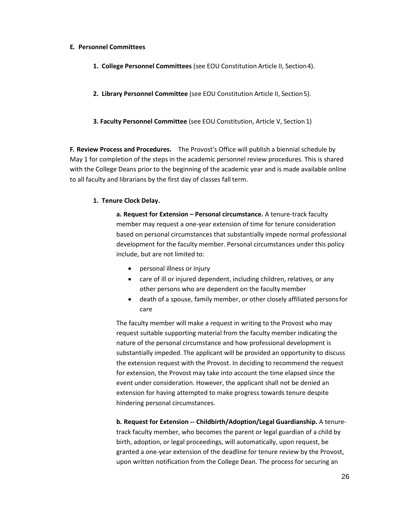## <span id="page-26-0"></span>**E. Personnel Committees**

- **1. College Personnel Committees** (see EOU Constitution Article II, Section4).
- **2. Library Personnel Committee** (see EOU Constitution Article II, Section5).
- **3. Faculty Personnel Committee** (see EOU Constitution, Article V, Section 1)

**F. Review Process and Procedures.** The Provost's Office will publish a biennial schedule by May 1 for completion of the steps in the academic personnel review procedures. This is shared with the College Deans prior to the beginning of the academic year and is made available online to all faculty and librarians by the first day of classes fall term.

# <span id="page-26-1"></span>**1. Tenure Clock Delay.**

**a.** Request for Extension – Personal circumstance. A tenure-track faculty member may request a one-year extension of time for tenure consideration based on personal circumstances that substantially impede normal professional development for the faculty member. Personal circumstances under this policy include, but are not limited to:

- personal illness or injury
- care of ill or injured dependent, including children, relatives, or any other persons who are dependent on the faculty member
- death of a spouse, family member, or other closely affiliated personsfor care

The faculty member will make a request in writing to the Provost who may request suitable supporting material from the faculty member indicating the nature of the personal circumstance and how professional development is substantially impeded. The applicant will be provided an opportunity to discuss the extension request with the Provost. In deciding to recommend the request for extension, the Provost may take into account the time elapsed since the event under consideration. However, the applicant shall not be denied an extension for having attempted to make progress towards tenure despite hindering personal circumstances.

**b. Request for Extension -- Childbirth/Adoption/Legal Guardianship.** A tenuretrack faculty member, who becomes the parent or legal guardian of a child by birth, adoption, or legal proceedings, will automatically, upon request, be granted a one-year extension of the deadline for tenure review by the Provost, upon written notification from the College Dean. The process for securing an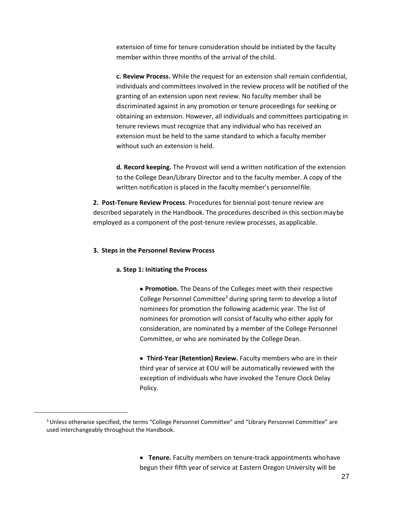extension of time for tenure consideration should be initiated by the faculty member within three months of the arrival of the child.

**c. Review Process.** While the request for an extension shall remain confidential, individuals and committees involved in the review process will be notified of the granting of an extension upon next review. No faculty member shall be discriminated against in any promotion or tenure proceedings for seeking or obtaining an extension. However, all individuals and committees participating in tenure reviews must recognize that any individual who has received an extension must be held to the same standard to which a faculty member without such an extension is held.

**d. Record keeping.** The Provost will send a written notification of the extension to the College Dean/Library Director and to the faculty member. A copy of the written notification is placed in the faculty member's personnelfile.

**2. Post-Tenure Review Process**. Procedures for biennial post-tenure review are described separately in the Handbook. The procedures described in this section maybe employed as a component of the post-tenure review processes, as applicable.

## <span id="page-27-0"></span>**3. Steps in the Personnel Review Process**

## **a. Step 1: Initiating the Process**

• **Promotion.** The Deans of the Colleges meet with their respective College Personnel Committee<sup>3</sup> during spring term to develop a listof nominees for promotion the following academic year. The list of nominees for promotion will consist of faculty who either apply for consideration, are nominated by a member of the College Personnel Committee, or who are nominated by the College Dean.

• **Third-Year (Retention) Review.** Faculty members who are in their third year of service at EOU will be automatically reviewed with the exception of individuals who have invoked the Tenure Clock Delay Policy.

• **Tenure.** Faculty members on tenure-track appointments whohave begun their fifth year of service at Eastern Oregon University will be

<sup>&</sup>lt;sup>3</sup> Unless otherwise specified, the terms "College Personnel Committee" and "Library Personnel Committee" are used interchangeably throughout the Handbook.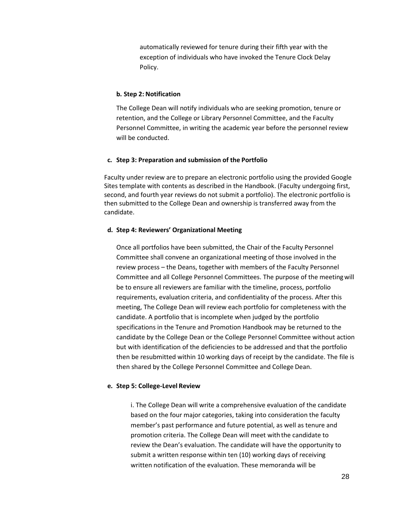automatically reviewed for tenure during their fifth year with the exception of individuals who have invoked the Tenure Clock Delay Policy.

## **b. Step 2: Notification**

The College Dean will notify individuals who are seeking promotion, tenure or retention, and the College or Library Personnel Committee, and the Faculty Personnel Committee, in writing the academic year before the personnel review will be conducted.

## **c. Step 3: Preparation and submission of the Portfolio**

Faculty under review are to prepare an electronic portfolio using the provided Google Sites template with contents as described in the Handbook. (Faculty undergoing first, second, and fourth year reviews do not submit a portfolio). The electronic portfolio is then submitted to the College Dean and ownership is transferred away from the candidate.

## **d. Step 4: Reviewers' Organizational Meeting**

Once all portfolios have been submitted, the Chair of the Faculty Personnel Committee shall convene an organizational meeting of those involved in the review process – the Deans, together with members of the Faculty Personnel Committee and all College Personnel Committees. The purpose of the meetingwill be to ensure all reviewers are familiar with the timeline, process, portfolio requirements, evaluation criteria, and confidentiality of the process. After this meeting, The College Dean will review each portfolio for completeness with the candidate. A portfolio that is incomplete when judged by the portfolio specifications in the Tenure and Promotion Handbook may be returned to the candidate by the College Dean or the College Personnel Committee without action but with identification of the deficiencies to be addressed and that the portfolio then be resubmitted within 10 working days of receipt by the candidate. The file is then shared by the College Personnel Committee and College Dean.

## **e. Step 5: College-Level Review**

i. The College Dean will write a comprehensive evaluation of the candidate based on the four major categories, taking into consideration the faculty member's past performance and future potential, as well as tenure and promotion criteria. The College Dean will meet withthe candidate to review the Dean's evaluation. The candidate will have the opportunity to submit a written response within ten (10) working days of receiving written notification of the evaluation. These memoranda will be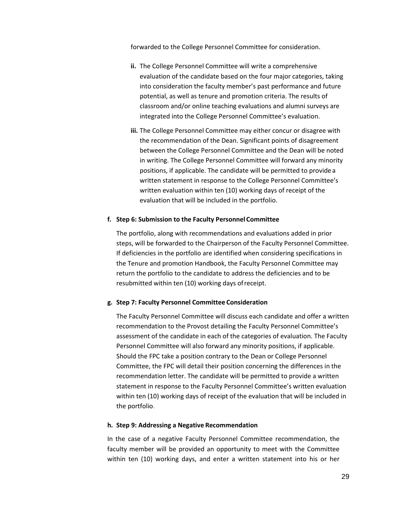forwarded to the College Personnel Committee for consideration.

- **ii.** The College Personnel Committee will write a comprehensive evaluation of the candidate based on the four major categories, taking into consideration the faculty member's past performance and future potential, as well as tenure and promotion criteria. The results of classroom and/or online teaching evaluations and alumni surveys are integrated into the College Personnel Committee's evaluation.
- **iii.** The College Personnel Committee may either concur or disagree with the recommendation of the Dean. Significant points of disagreement between the College Personnel Committee and the Dean will be noted in writing. The College Personnel Committee will forward any minority positions, if applicable. The candidate will be permitted to provide a written statement in response to the College Personnel Committee's written evaluation within ten (10) working days of receipt of the evaluation that will be included in the portfolio.

## **f. Step 6: Submission to the Faculty Personnel Committee**

The portfolio, along with recommendations and evaluations added in prior steps, will be forwarded to the Chairperson of the Faculty Personnel Committee. If deficiencies in the portfolio are identified when considering specifications in the Tenure and promotion Handbook, the Faculty Personnel Committee may return the portfolio to the candidate to address the deficiencies and to be resubmitted within ten (10) working days ofreceipt.

## **g. Step 7: Faculty Personnel Committee Consideration**

The Faculty Personnel Committee will discuss each candidate and offer a written recommendation to the Provost detailing the Faculty Personnel Committee's assessment of the candidate in each of the categories of evaluation. The Faculty Personnel Committee will also forward any minority positions, if applicable. Should the FPC take a position contrary to the Dean or College Personnel Committee, the FPC will detail their position concerning the differences in the recommendation letter. The candidate will be permitted to provide a written statement in response to the Faculty Personnel Committee's written evaluation within ten (10) working days of receipt of the evaluation that will be included in the portfolio.

## **h. Step 9: Addressing a Negative Recommendation**

In the case of a negative Faculty Personnel Committee recommendation, the faculty member will be provided an opportunity to meet with the Committee within ten (10) working days, and enter a written statement into his or her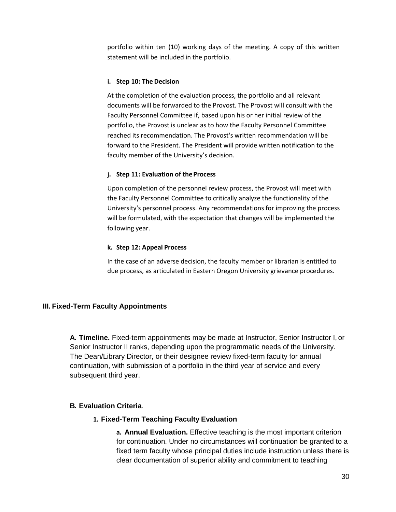portfolio within ten (10) working days of the meeting. A copy of this written statement will be included in the portfolio.

# **i. Step 10: The Decision**

At the completion of the evaluation process, the portfolio and all relevant documents will be forwarded to the Provost. The Provost will consult with the Faculty Personnel Committee if, based upon his or her initial review of the portfolio, the Provost is unclear as to how the Faculty Personnel Committee reached its recommendation. The Provost's written recommendation will be forward to the President. The President will provide written notification to the faculty member of the University's decision.

# **j. Step 11: Evaluation of theProcess**

Upon completion of the personnel review process, the Provost will meet with the Faculty Personnel Committee to critically analyze the functionality of the University's personnel process. Any recommendations for improving the process will be formulated, with the expectation that changes will be implemented the following year.

# **k. Step 12: Appeal Process**

In the case of an adverse decision, the faculty member or librarian is entitled to due process, as articulated in Eastern Oregon University grievance procedures.

# <span id="page-30-0"></span>**III. Fixed-Term Faculty Appointments**

**A. Timeline.** Fixed-term appointments may be made at Instructor, Senior Instructor I, or Senior Instructor II ranks, depending upon the programmatic needs of the University. The Dean/Library Director, or their designee review fixed-term faculty for annual continuation, with submission of a portfolio in the third year of service and every subsequent third year.

# <span id="page-30-2"></span><span id="page-30-1"></span>**B. Evaluation Criteria**.

# **1. Fixed-Term Teaching Faculty Evaluation**

**a. Annual Evaluation.** Effective teaching is the most important criterion for continuation. Under no circumstances will continuation be granted to a fixed term faculty whose principal duties include instruction unless there is clear documentation of superior ability and commitment to teaching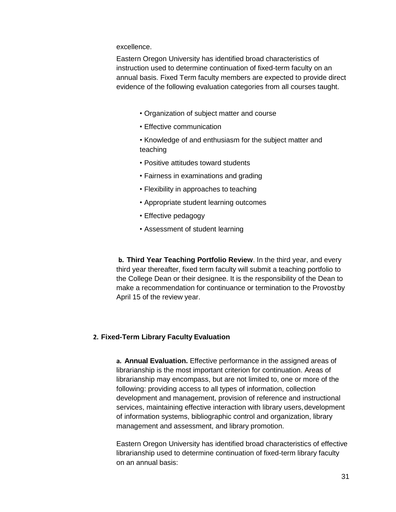excellence.

Eastern Oregon University has identified broad characteristics of instruction used to determine continuation of fixed-term faculty on an annual basis. Fixed Term faculty members are expected to provide direct evidence of the following evaluation categories from all courses taught.

- Organization of subject matter and course
- Effective communication
- Knowledge of and enthusiasm for the subject matter and teaching
- Positive attitudes toward students
- Fairness in examinations and grading
- Flexibility in approaches to teaching
- Appropriate student learning outcomes
- Effective pedagogy
- Assessment of student learning

**b. Third Year Teaching Portfolio Review**. In the third year, and every third year thereafter, fixed term faculty will submit a teaching portfolio to the College Dean or their designee. It is the responsibility of the Dean to make a recommendation for continuance or termination to the Provostby April 15 of the review year.

# <span id="page-31-0"></span>**2. Fixed-Term Library Faculty Evaluation**

**a. Annual Evaluation.** Effective performance in the assigned areas of librarianship is the most important criterion for continuation. Areas of librarianship may encompass, but are not limited to, one or more of the following: providing access to all types of information, collection development and management, provision of reference and instructional services, maintaining effective interaction with library users,development of information systems, bibliographic control and organization, library management and assessment, and library promotion.

Eastern Oregon University has identified broad characteristics of effective librarianship used to determine continuation of fixed-term library faculty on an annual basis: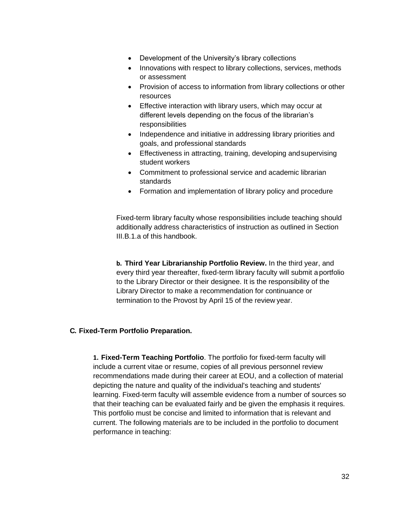- Development of the University's library collections
- Innovations with respect to library collections, services, methods or assessment
- Provision of access to information from library collections or other resources
- Effective interaction with library users, which may occur at different levels depending on the focus of the librarian's responsibilities
- Independence and initiative in addressing library priorities and goals, and professional standards
- Effectiveness in attracting, training, developing andsupervising student workers
- Commitment to professional service and academic librarian standards
- Formation and implementation of library policy and procedure

Fixed-term library faculty whose responsibilities include teaching should additionally address characteristics of instruction as outlined in Section III.B.1.a of this handbook.

**b. Third Year Librarianship Portfolio Review.** In the third year, and every third year thereafter, fixed-term library faculty will submit aportfolio to the Library Director or their designee. It is the responsibility of the Library Director to make a recommendation for continuance or termination to the Provost by April 15 of the review year.

# <span id="page-32-0"></span>**C. Fixed-Term Portfolio Preparation.**

**1. Fixed-Term Teaching Portfolio**. The portfolio for fixed-term faculty will include a current vitae or resume, copies of all previous personnel review recommendations made during their career at EOU, and a collection of material depicting the nature and quality of the individual's teaching and students' learning. Fixed-term faculty will assemble evidence from a number of sources so that their teaching can be evaluated fairly and be given the emphasis it requires. This portfolio must be concise and limited to information that is relevant and current. The following materials are to be included in the portfolio to document performance in teaching: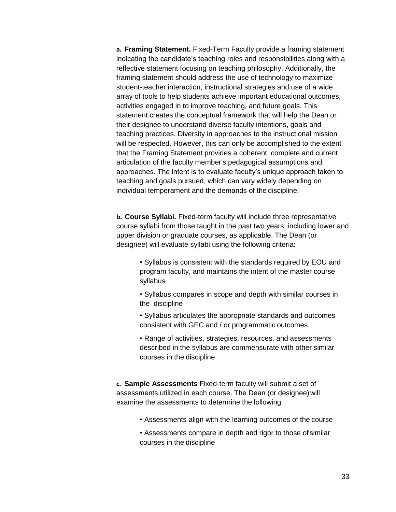**a. Framing Statement.** Fixed-Term Faculty provide a framing statement indicating the candidate's teaching roles and responsibilities along with a reflective statement focusing on teaching philosophy. Additionally, the framing statement should address the use of technology to maximize student-teacher interaction, instructional strategies and use of a wide array of tools to help students achieve important educational outcomes, activities engaged in to improve teaching, and future goals. This statement creates the conceptual framework that will help the Dean or their designee to understand diverse faculty intentions, goals and teaching practices. Diversity in approaches to the instructional mission will be respected. However, this can only be accomplished to the extent that the Framing Statement provides a coherent, complete and current articulation of the faculty member's pedagogical assumptions and approaches. The intent is to evaluate faculty's unique approach taken to teaching and goals pursued, which can vary widely depending on individual temperament and the demands of the discipline.

**b. Course Syllabi.** Fixed-term faculty will include three representative course syllabi from those taught in the past two years, including lower and upper division or graduate courses, as applicable. The Dean (or designee) will evaluate syllabi using the following criteria:

- Syllabus is consistent with the standards required by EOU and program faculty, and maintains the intent of the master course syllabus
- Syllabus compares in scope and depth with similar courses in the discipline
- Syllabus articulates the appropriate standards and outcomes consistent with GEC and / or programmatic outcomes
- Range of activities, strategies, resources, and assessments described in the syllabus are commensurate with other similar courses in the discipline

**c. Sample Assessments** Fixed-term faculty will submit a set of assessments utilized in each course. The Dean (or designee)will examine the assessments to determine the following:

- Assessments align with the learning outcomes of the course
- Assessments compare in depth and rigor to those of similar courses in the discipline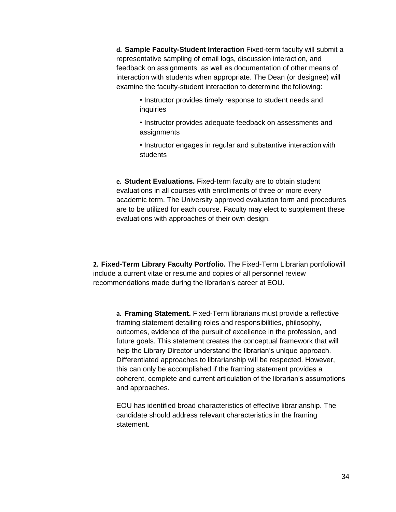**d. Sample Faculty-Student Interaction** Fixed-term faculty will submit a representative sampling of email logs, discussion interaction, and feedback on assignments, as well as documentation of other means of interaction with students when appropriate. The Dean (or designee) will examine the faculty-student interaction to determine the following:

- Instructor provides timely response to student needs and inquiries
- Instructor provides adequate feedback on assessments and assignments
- Instructor engages in regular and substantive interaction with students

**e. Student Evaluations.** Fixed-term faculty are to obtain student evaluations in all courses with enrollments of three or more every academic term. The University approved evaluation form and procedures are to be utilized for each course. Faculty may elect to supplement these evaluations with approaches of their own design.

**2. Fixed-Term Library Faculty Portfolio.** The Fixed-Term Librarian portfoliowill include a current vitae or resume and copies of all personnel review recommendations made during the librarian's career at EOU.

**a. Framing Statement.** Fixed-Term librarians must provide a reflective framing statement detailing roles and responsibilities, philosophy, outcomes, evidence of the pursuit of excellence in the profession, and future goals. This statement creates the conceptual framework that will help the Library Director understand the librarian's unique approach. Differentiated approaches to librarianship will be respected. However, this can only be accomplished if the framing statement provides a coherent, complete and current articulation of the librarian's assumptions and approaches.

EOU has identified broad characteristics of effective librarianship. The candidate should address relevant characteristics in the framing statement.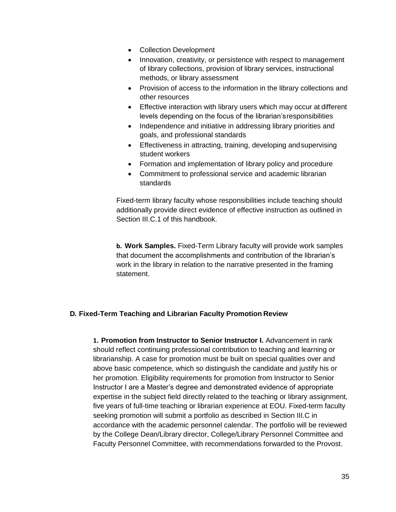- Collection Development
- Innovation, creativity, or persistence with respect to management of library collections, provision of library services, instructional methods, or library assessment
- Provision of access to the information in the library collections and other resources
- Effective interaction with library users which may occur at different levels depending on the focus of the librarian'sresponsibilities
- Independence and initiative in addressing library priorities and goals, and professional standards
- Effectiveness in attracting, training, developing andsupervising student workers
- Formation and implementation of library policy and procedure
- Commitment to professional service and academic librarian standards

Fixed-term library faculty whose responsibilities include teaching should additionally provide direct evidence of effective instruction as outlined in Section III.C.1 of this handbook.

**b. Work Samples.** Fixed-Term Library faculty will provide work samples that document the accomplishments and contribution of the librarian's work in the library in relation to the narrative presented in the framing statement.

# <span id="page-35-0"></span>**D. Fixed-Term Teaching and Librarian Faculty Promotion Review**

**1. Promotion from Instructor to Senior Instructor I.** Advancement in rank should reflect continuing professional contribution to teaching and learning or librarianship. A case for promotion must be built on special qualities over and above basic competence, which so distinguish the candidate and justify his or her promotion. Eligibility requirements for promotion from Instructor to Senior Instructor I are a Master's degree and demonstrated evidence of appropriate expertise in the subject field directly related to the teaching or library assignment, five years of full-time teaching or librarian experience at EOU. Fixed-term faculty seeking promotion will submit a portfolio as described in Section III.C in accordance with the academic personnel calendar. The portfolio will be reviewed by the College Dean/Library director, College/Library Personnel Committee and Faculty Personnel Committee, with recommendations forwarded to the Provost.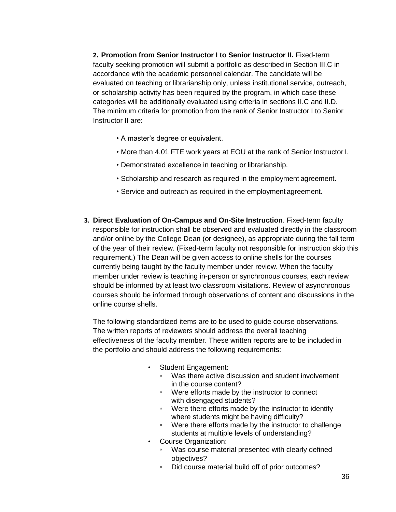**2. Promotion from Senior Instructor I to Senior Instructor II.** Fixed-term faculty seeking promotion will submit a portfolio as described in Section III.C in accordance with the academic personnel calendar. The candidate will be evaluated on teaching or librarianship only, unless institutional service, outreach, or scholarship activity has been required by the program, in which case these categories will be additionally evaluated using criteria in sections II.C and II.D. The minimum criteria for promotion from the rank of Senior Instructor I to Senior Instructor II are:

- A master's degree or equivalent.
- More than 4.01 FTE work years at EOU at the rank of Senior Instructor I.
- Demonstrated excellence in teaching or librarianship.
- Scholarship and research as required in the employment agreement.
- Service and outreach as required in the employment agreement.
- **3. Direct Evaluation of On-Campus and On-Site Instruction**. Fixed-term faculty responsible for instruction shall be observed and evaluated directly in the classroom and/or online by the College Dean (or designee), as appropriate during the fall term of the year of their review. (Fixed-term faculty not responsible for instruction skip this requirement.) The Dean will be given access to online shells for the courses currently being taught by the faculty member under review. When the faculty member under review is teaching in-person or synchronous courses, each review should be informed by at least two classroom visitations. Review of asynchronous courses should be informed through observations of content and discussions in the online course shells.

The following standardized items are to be used to guide course observations. The written reports of reviewers should address the overall teaching effectiveness of the faculty member. These written reports are to be included in the portfolio and should address the following requirements:

- Student Engagement:
	- Was there active discussion and student involvement in the course content?
	- Were efforts made by the instructor to connect with disengaged students?
	- Were there efforts made by the instructor to identify where students might be having difficulty?
	- Were there efforts made by the instructor to challenge students at multiple levels of understanding?
- Course Organization:
	- Was course material presented with clearly defined objectives?
	- Did course material build off of prior outcomes?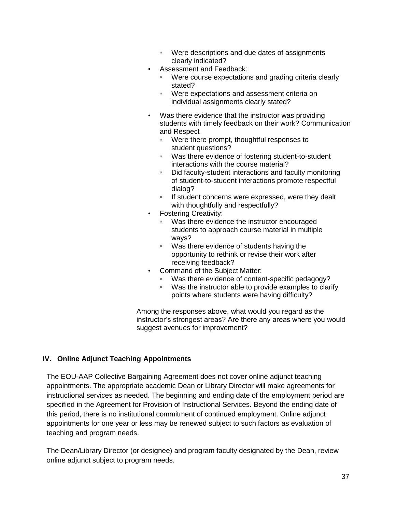- Were descriptions and due dates of assignments clearly indicated?
- Assessment and Feedback:
	- Were course expectations and grading criteria clearly stated?
	- Were expectations and assessment criteria on individual assignments clearly stated?
- Was there evidence that the instructor was providing students with timely feedback on their work? Communication and Respect
	- Were there prompt, thoughtful responses to student questions?
	- Was there evidence of fostering student-to-student interactions with the course material?
	- Did faculty-student interactions and faculty monitoring of student-to-student interactions promote respectful dialog?
	- If student concerns were expressed, were they dealt with thoughtfully and respectfully?
- Fostering Creativity:
	- Was there evidence the instructor encouraged students to approach course material in multiple ways?
	- Was there evidence of students having the opportunity to rethink or revise their work after receiving feedback?
- Command of the Subject Matter:
	- Was there evidence of content-specific pedagogy?
	- Was the instructor able to provide examples to clarify points where students were having difficulty?

Among the responses above, what would you regard as the instructor's strongest areas? Are there any areas where you would suggest avenues for improvement?

# <span id="page-37-0"></span>**IV. Online Adjunct Teaching Appointments**

The EOU-AAP Collective Bargaining Agreement does not cover online adjunct teaching appointments. The appropriate academic Dean or Library Director will make agreements for instructional services as needed. The beginning and ending date of the employment period are specified in the Agreement for Provision of Instructional Services. Beyond the ending date of this period, there is no institutional commitment of continued employment. Online adjunct appointments for one year or less may be renewed subject to such factors as evaluation of teaching and program needs.

The Dean/Library Director (or designee) and program faculty designated by the Dean, review online adjunct subject to program needs.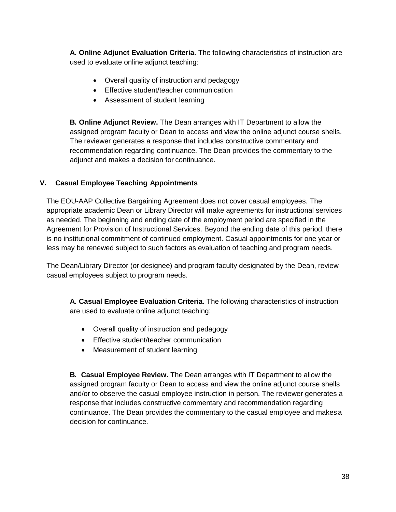**A. Online Adjunct Evaluation Criteria**. The following characteristics of instruction are used to evaluate online adjunct teaching:

- Overall quality of instruction and pedagogy
- Effective student/teacher communication
- Assessment of student learning

**B. Online Adjunct Review.** The Dean arranges with IT Department to allow the assigned program faculty or Dean to access and view the online adjunct course shells. The reviewer generates a response that includes constructive commentary and recommendation regarding continuance. The Dean provides the commentary to the adjunct and makes a decision for continuance.

# <span id="page-38-0"></span>**V. Casual Employee Teaching Appointments**

The EOU-AAP Collective Bargaining Agreement does not cover casual employees. The appropriate academic Dean or Library Director will make agreements for instructional services as needed. The beginning and ending date of the employment period are specified in the Agreement for Provision of Instructional Services. Beyond the ending date of this period, there is no institutional commitment of continued employment. Casual appointments for one year or less may be renewed subject to such factors as evaluation of teaching and program needs.

The Dean/Library Director (or designee) and program faculty designated by the Dean, review casual employees subject to program needs.

**A. Casual Employee Evaluation Criteria.** The following characteristics of instruction are used to evaluate online adjunct teaching:

- Overall quality of instruction and pedagogy
- Effective student/teacher communication
- Measurement of student learning

**B. Casual Employee Review.** The Dean arranges with IT Department to allow the assigned program faculty or Dean to access and view the online adjunct course shells and/or to observe the casual employee instruction in person. The reviewer generates a response that includes constructive commentary and recommendation regarding continuance. The Dean provides the commentary to the casual employee and makesa decision for continuance.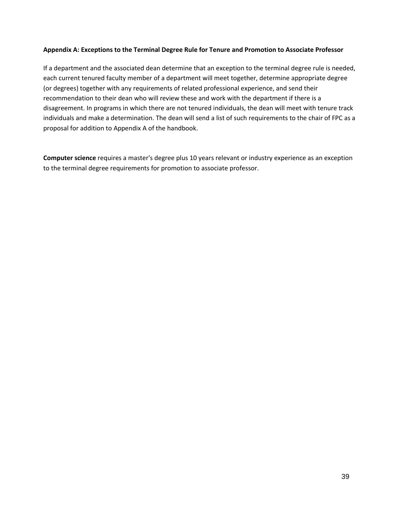# **Appendix A: Exceptions to the Terminal Degree Rule for Tenure and Promotion to Associate Professor**

If a department and the associated dean determine that an exception to the terminal degree rule is needed, each current tenured faculty member of a department will meet together, determine appropriate degree (or degrees) together with any requirements of related professional experience, and send their recommendation to their dean who will review these and work with the department if there is a disagreement. In programs in which there are not tenured individuals, the dean will meet with tenure track individuals and make a determination. The dean will send a list of such requirements to the chair of FPC as a proposal for addition to Appendix A of the handbook.

**Computer science** requires a master's degree plus 10 years relevant or industry experience as an exception to the terminal degree requirements for promotion to associate professor.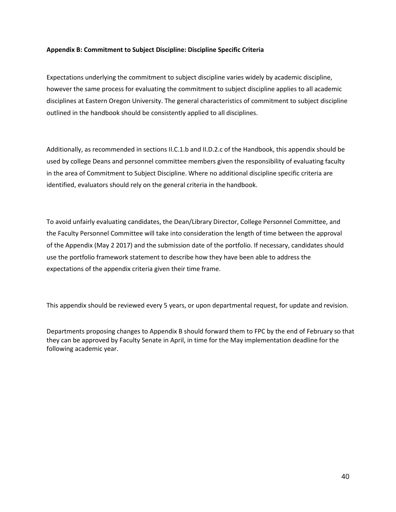## **Appendix B: Commitment to Subject Discipline: Discipline Specific Criteria**

Expectations underlying the commitment to subject discipline varies widely by academic discipline, however the same process for evaluating the commitment to subject discipline applies to all academic disciplines at Eastern Oregon University. The general characteristics of commitment to subject discipline outlined in the handbook should be consistently applied to all disciplines.

Additionally, as recommended in sections II.C.1.b and II.D.2.c of the Handbook, this appendix should be used by college Deans and personnel committee members given the responsibility of evaluating faculty in the area of Commitment to Subject Discipline. Where no additional discipline specific criteria are identified, evaluators should rely on the general criteria in the handbook.

To avoid unfairly evaluating candidates, the Dean/Library Director, College Personnel Committee, and the Faculty Personnel Committee will take into consideration the length of time between the approval of the Appendix (May 2 2017) and the submission date of the portfolio. If necessary, candidates should use the portfolio framework statement to describe how they have been able to address the expectations of the appendix criteria given their time frame.

This appendix should be reviewed every 5 years, or upon departmental request, for update and revision.

Departments proposing changes to Appendix B should forward them to FPC by the end of February so that they can be approved by Faculty Senate in April, in time for the May implementation deadline for the following academic year.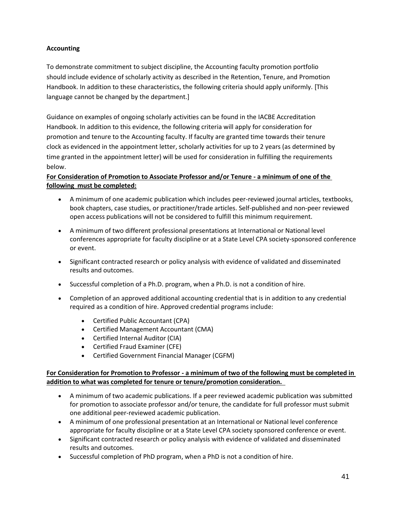# **Accounting**

To demonstrate commitment to subject discipline, the Accounting faculty promotion portfolio should include evidence of scholarly activity as described in the Retention, Tenure, and Promotion Handbook. In addition to these characteristics, the following criteria should apply uniformly. [This language cannot be changed by the department.]

Guidance on examples of ongoing scholarly activities can be found in the IACBE Accreditation Handbook. In addition to this evidence, the following criteria will apply for consideration for promotion and tenure to the Accounting faculty. If faculty are granted time towards their tenure clock as evidenced in the appointment letter, scholarly activities for up to 2 years (as determined by time granted in the appointment letter) will be used for consideration in fulfilling the requirements below.

# **For Consideration of Promotion to Associate Professor and/or Tenure - a minimum of one of the following must be completed:**

- A minimum of one academic publication which includes peer-reviewed journal articles, textbooks, book chapters, case studies, or practitioner/trade articles. Self-published and non-peer reviewed open access publications will not be considered to fulfill this minimum requirement.
- A minimum of two different professional presentations at International or National level conferences appropriate for faculty discipline or at a State Level CPA society-sponsored conference or event.
- Significant contracted research or policy analysis with evidence of validated and disseminated results and outcomes.
- Successful completion of a Ph.D. program, when a Ph.D. is not a condition of hire.
- Completion of an approved additional accounting credential that is in addition to any credential required as a condition of hire. Approved credential programs include:
	- Certified Public Accountant (CPA)
	- Certified Management Accountant (CMA)
	- Certified Internal Auditor (CIA)
	- Certified Fraud Examiner (CFE)
	- Certified Government Financial Manager (CGFM)

# **For Consideration for Promotion to Professor - a minimum of two of the following must be completed in addition to what was completed for tenure or tenure/promotion consideration.**

- A minimum of two academic publications. If a peer reviewed academic publication was submitted for promotion to associate professor and/or tenure, the candidate for full professor must submit one additional peer-reviewed academic publication.
- A minimum of one professional presentation at an International or National level conference appropriate for faculty discipline or at a State Level CPA society sponsored conference or event.
- Significant contracted research or policy analysis with evidence of validated and disseminated results and outcomes.
- Successful completion of PhD program, when a PhD is not a condition of hire.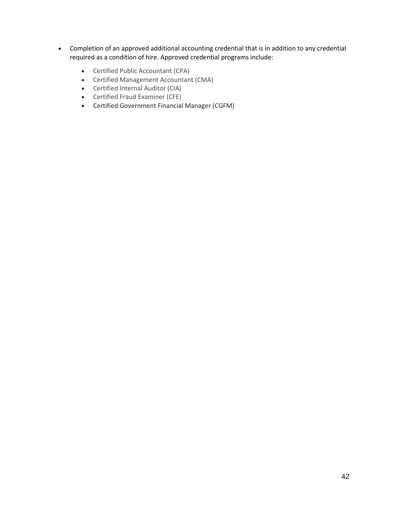- Completion of an approved additional accounting credential that is in addition to any credential required as a condition of hire. Approved credential programs include:
	- Certified Public Accountant (CPA)
	- Certified Management Accountant (CMA)
	- Certified Internal Auditor (CIA)
	- Certified Fraud Examiner (CFE)
	- Certified Government Financial Manager (CGFM)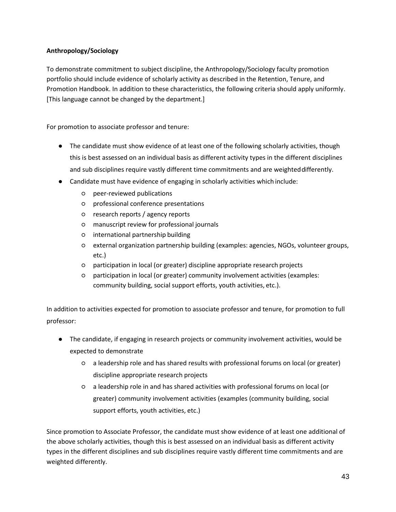# **Anthropology/Sociology**

To demonstrate commitment to subject discipline, the Anthropology/Sociology faculty promotion portfolio should include evidence of scholarly activity as described in the Retention, Tenure, and Promotion Handbook. In addition to these characteristics, the following criteria should apply uniformly. [This language cannot be changed by the department.]

For promotion to associate professor and tenure:

- The candidate must show evidence of at least one of the following scholarly activities, though this is best assessed on an individual basis as different activity types in the different disciplines and sub disciplines require vastly different time commitments and are weighteddifferently.
- Candidate must have evidence of engaging in scholarly activities which include:
	- peer-reviewed publications
	- professional conference presentations
	- research reports / agency reports
	- manuscript review for professional journals
	- international partnership building
	- external organization partnership building (examples: agencies, NGOs, volunteer groups, etc.)
	- participation in local (or greater) discipline appropriate research projects
	- participation in local (or greater) community involvement activities (examples: community building, social support efforts, youth activities, etc.).

In addition to activities expected for promotion to associate professor and tenure, for promotion to full professor:

- The candidate, if engaging in research projects or community involvement activities, would be expected to demonstrate
	- a leadership role and has shared results with professional forums on local (or greater) discipline appropriate research projects
	- a leadership role in and has shared activities with professional forums on local (or greater) community involvement activities (examples (community building, social support efforts, youth activities, etc.)

Since promotion to Associate Professor, the candidate must show evidence of at least one additional of the above scholarly activities, though this is best assessed on an individual basis as different activity types in the different disciplines and sub disciplines require vastly different time commitments and are weighted differently.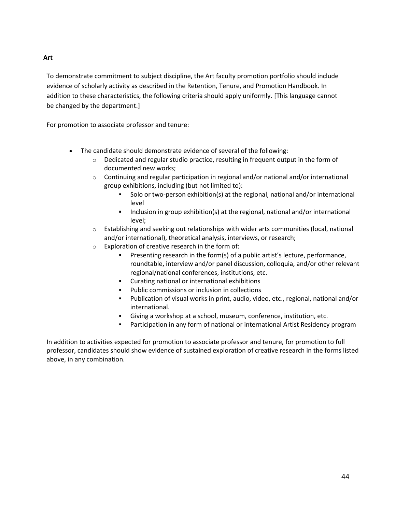# To demonstrate commitment to subject discipline, the Art faculty promotion portfolio should include evidence of scholarly activity as described in the Retention, Tenure, and Promotion Handbook. In addition to these characteristics, the following criteria should apply uniformly. [This language cannot

be changed by the department.]

For promotion to associate professor and tenure:

- The candidate should demonstrate evidence of several of the following:
	- $\circ$  Dedicated and regular studio practice, resulting in frequent output in the form of documented new works;
	- $\circ$  Continuing and regular participation in regional and/or national and/or international group exhibitions, including (but not limited to):
		- Solo or two-person exhibition(s) at the regional, national and/or international level
		- Inclusion in group exhibition(s) at the regional, national and/or international level;
	- $\circ$  Establishing and seeking out relationships with wider arts communities (local, national and/or international), theoretical analysis, interviews, or research;
	- o Exploration of creative research in the form of:
		- **•** Presenting research in the form(s) of a public artist's lecture, performance, roundtable, interview and/or panel discussion, colloquia, and/or other relevant regional/national conferences, institutions, etc.
		- Curating national or international exhibitions
		- Public commissions or inclusion in collections
		- Publication of visual works in print, audio, video, etc., regional, national and/or international.
		- Giving a workshop at a school, museum, conference, institution, etc.
		- **EXED FOR THE PART IS A THE PART OF THE PART IS A THE PART IS A THE PART IS A THE PART IS A THE PART IS A THE P**

In addition to activities expected for promotion to associate professor and tenure, for promotion to full professor, candidates should show evidence of sustained exploration of creative research in the forms listed above, in any combination.

**Art**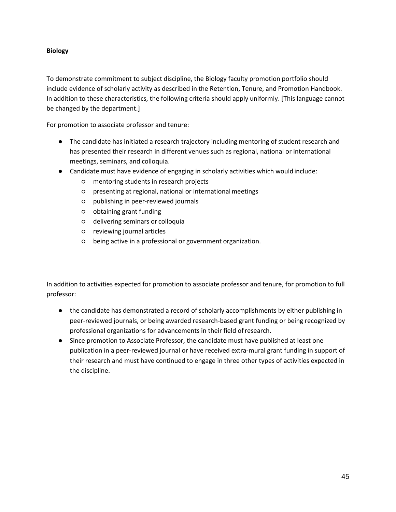# **Biology**

To demonstrate commitment to subject discipline, the Biology faculty promotion portfolio should include evidence of scholarly activity as described in the Retention, Tenure, and Promotion Handbook. In addition to these characteristics, the following criteria should apply uniformly. [This language cannot be changed by the department.]

For promotion to associate professor and tenure:

- The candidate has initiated a research trajectory including mentoring of student research and has presented their research in different venues such as regional, national or international meetings, seminars, and colloquia.
- Candidate must have evidence of engaging in scholarly activities which would include:
	- mentoring students in research projects
	- presenting at regional, national or internationalmeetings
	- publishing in peer-reviewed journals
	- obtaining grant funding
	- delivering seminars or colloquia
	- reviewing journal articles
	- being active in a professional or government organization.

In addition to activities expected for promotion to associate professor and tenure, for promotion to full professor:

- the candidate has demonstrated a record of scholarly accomplishments by either publishing in peer-reviewed journals, or being awarded research-based grant funding or being recognized by professional organizations for advancements in their field ofresearch.
- Since promotion to Associate Professor, the candidate must have published at least one publication in a peer-reviewed journal or have received extra-mural grant funding in support of their research and must have continued to engage in three other types of activities expected in the discipline.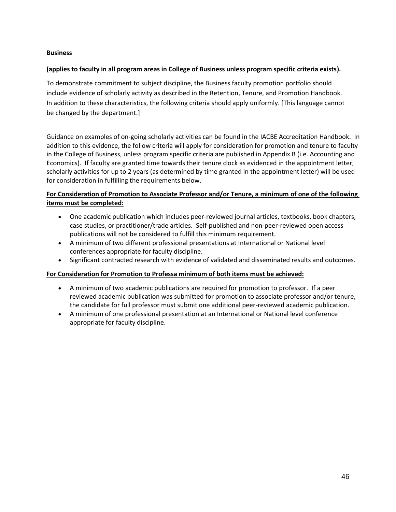# **Business**

# **(applies to faculty in all program areas in College of Business unless program specific criteria exists).**

To demonstrate commitment to subject discipline, the Business faculty promotion portfolio should include evidence of scholarly activity as described in the Retention, Tenure, and Promotion Handbook. In addition to these characteristics, the following criteria should apply uniformly. [This language cannot be changed by the department.]

Guidance on examples of on-going scholarly activities can be found in the IACBE Accreditation Handbook. In addition to this evidence, the follow criteria will apply for consideration for promotion and tenure to faculty in the College of Business, unless program specific criteria are published in Appendix B (i.e. Accounting and Economics). If faculty are granted time towards their tenure clock as evidenced in the appointment letter, scholarly activities for up to 2 years (as determined by time granted in the appointment letter) will be used for consideration in fulfilling the requirements below.

# **For Consideration of Promotion to Associate Professor and/or Tenure, a minimum of one of the following items must be completed:**

- One academic publication which includes peer-reviewed journal articles, textbooks, book chapters, case studies, or practitioner/trade articles. Self-published and non-peer-reviewed open access publications will not be considered to fulfill this minimum requirement.
- A minimum of two different professional presentations at International or National level conferences appropriate for faculty discipline.
- Significant contracted research with evidence of validated and disseminated results and outcomes.

# **For Consideration for Promotion to Professa minimum of both items must be achieved:**

- A minimum of two academic publications are required for promotion to professor. If a peer reviewed academic publication was submitted for promotion to associate professor and/or tenure, the candidate for full professor must submit one additional peer-reviewed academic publication.
- A minimum of one professional presentation at an International or National level conference appropriate for faculty discipline.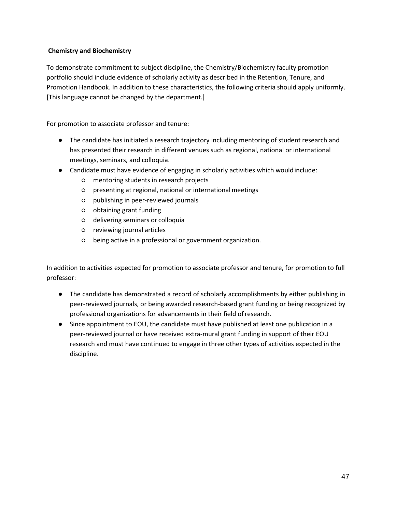# **Chemistry and Biochemistry**

To demonstrate commitment to subject discipline, the Chemistry/Biochemistry faculty promotion portfolio should include evidence of scholarly activity as described in the Retention, Tenure, and Promotion Handbook. In addition to these characteristics, the following criteria should apply uniformly. [This language cannot be changed by the department.]

For promotion to associate professor and tenure:

- The candidate has initiated a research trajectory including mentoring of student research and has presented their research in different venues such as regional, national or international meetings, seminars, and colloquia.
- Candidate must have evidence of engaging in scholarly activities which wouldinclude:
	- mentoring students in research projects
	- presenting at regional, national or internationalmeetings
	- publishing in peer-reviewed journals
	- obtaining grant funding
	- delivering seminars or colloquia
	- reviewing journal articles
	- being active in a professional or government organization.

In addition to activities expected for promotion to associate professor and tenure, for promotion to full professor:

- The candidate has demonstrated a record of scholarly accomplishments by either publishing in peer-reviewed journals, or being awarded research-based grant funding or being recognized by professional organizations for advancements in their field ofresearch.
- Since appointment to EOU, the candidate must have published at least one publication in a peer-reviewed journal or have received extra-mural grant funding in support of their EOU research and must have continued to engage in three other types of activities expected in the discipline.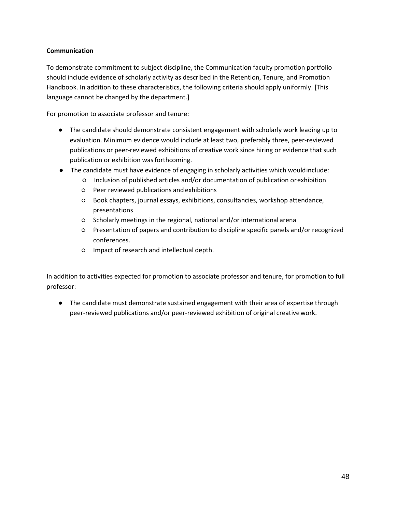# **Communication**

To demonstrate commitment to subject discipline, the Communication faculty promotion portfolio should include evidence of scholarly activity as described in the Retention, Tenure, and Promotion Handbook. In addition to these characteristics, the following criteria should apply uniformly. [This language cannot be changed by the department.]

For promotion to associate professor and tenure:

- The candidate should demonstrate consistent engagement with scholarly work leading up to evaluation. Minimum evidence would include at least two, preferably three, peer-reviewed publications or peer-reviewed exhibitions of creative work since hiring or evidence that such publication or exhibition was forthcoming.
- The candidate must have evidence of engaging in scholarly activities which wouldinclude:
	- Inclusion of published articles and/or documentation of publication orexhibition
	- Peer reviewed publications and exhibitions
	- Book chapters, journal essays, exhibitions, consultancies, workshop attendance, presentations
	- Scholarly meetings in the regional, national and/or international arena
	- Presentation of papers and contribution to discipline specific panels and/or recognized conferences.
	- Impact of research and intellectual depth.

In addition to activities expected for promotion to associate professor and tenure, for promotion to full professor:

● The candidate must demonstrate sustained engagement with their area of expertise through peer-reviewed publications and/or peer-reviewed exhibition of original creativework.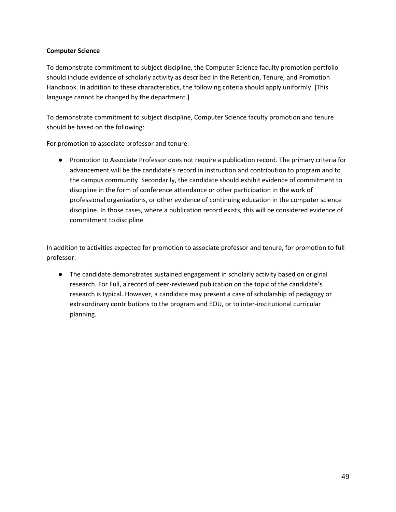# **Computer Science**

To demonstrate commitment to subject discipline, the Computer Science faculty promotion portfolio should include evidence of scholarly activity as described in the Retention, Tenure, and Promotion Handbook. In addition to these characteristics, the following criteria should apply uniformly. [This language cannot be changed by the department.]

To demonstrate commitment to subject discipline, Computer Science faculty promotion and tenure should be based on the following:

For promotion to associate professor and tenure:

● Promotion to Associate Professor does not require a publication record. The primary criteria for advancement will be the candidate's record in instruction and contribution to program and to the campus community. Secondarily, the candidate should exhibit evidence of commitment to discipline in the form of conference attendance or other participation in the work of professional organizations, or other evidence of continuing education in the computer science discipline. In those cases, where a publication record exists, this will be considered evidence of commitment to discipline.

In addition to activities expected for promotion to associate professor and tenure, for promotion to full professor:

● The candidate demonstrates sustained engagement in scholarly activity based on original research. For Full, a record of peer-reviewed publication on the topic of the candidate's research is typical. However, a candidate may present a case of scholarship of pedagogy or extraordinary contributions to the program and EOU, or to inter-institutional curricular planning.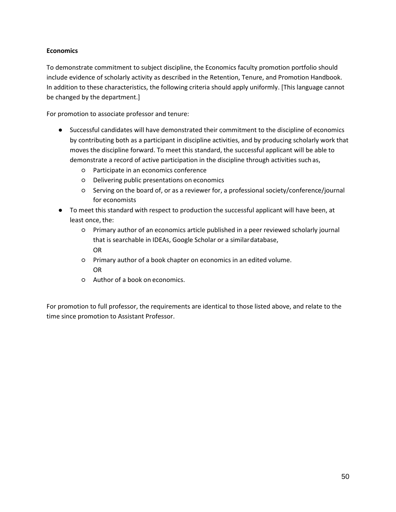# **Economics**

To demonstrate commitment to subject discipline, the Economics faculty promotion portfolio should include evidence of scholarly activity as described in the Retention, Tenure, and Promotion Handbook. In addition to these characteristics, the following criteria should apply uniformly. [This language cannot be changed by the department.]

For promotion to associate professor and tenure:

- Successful candidates will have demonstrated their commitment to the discipline of economics by contributing both as a participant in discipline activities, and by producing scholarly work that moves the discipline forward. To meet this standard, the successful applicant will be able to demonstrate a record of active participation in the discipline through activities suchas,
	- Participate in an economics conference
	- Delivering public presentations on economics
	- Serving on the board of, or as a reviewer for, a professional society/conference/journal for economists
- To meet this standard with respect to production the successful applicant will have been, at least once, the:
	- Primary author of an economics article published in a peer reviewed scholarly journal that is searchable in IDEAs, Google Scholar or a similardatabase, OR
	- Primary author of a book chapter on economics in an edited volume. OR
	- Author of a book on economics.

For promotion to full professor, the requirements are identical to those listed above, and relate to the time since promotion to Assistant Professor.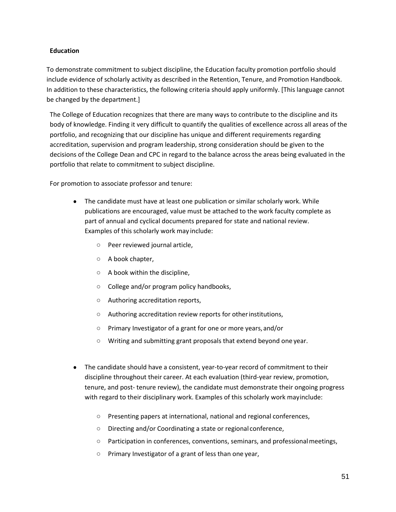# **Education**

To demonstrate commitment to subject discipline, the Education faculty promotion portfolio should include evidence of scholarly activity as described in the Retention, Tenure, and Promotion Handbook. In addition to these characteristics, the following criteria should apply uniformly. [This language cannot be changed by the department.]

The College of Education recognizes that there are many ways to contribute to the discipline and its body of knowledge. Finding it very difficult to quantify the qualities of excellence across all areas of the portfolio, and recognizing that our discipline has unique and different requirements regarding accreditation, supervision and program leadership, strong consideration should be given to the decisions of the College Dean and CPC in regard to the balance across the areas being evaluated in the portfolio that relate to commitment to subject discipline.

For promotion to associate professor and tenure:

- The candidate must have at least one publication or similar scholarly work. While publications are encouraged, value must be attached to the work faculty complete as part of annual and cyclical documents prepared for state and national review. Examples of this scholarly work may include:
	- Peer reviewed journal article,
	- A book chapter,
	- A book within the discipline,
	- College and/or program policy handbooks,
	- Authoring accreditation reports,
	- Authoring accreditation review reports for otherinstitutions,
	- Primary Investigator of a grant for one or more years,and/or
	- Writing and submitting grant proposals that extend beyond one year.
- The candidate should have a consistent, year-to-year record of commitment to their discipline throughout their career. At each evaluation (third-year review, promotion, tenure, and post- tenure review), the candidate must demonstrate their ongoing progress with regard to their disciplinary work. Examples of this scholarly work mayinclude:
	- Presenting papers at international, national and regional conferences,
	- Directing and/or Coordinating a state or regional conference,
	- Participation in conferences, conventions, seminars, and professionalmeetings,
	- Primary Investigator of a grant of less than one year,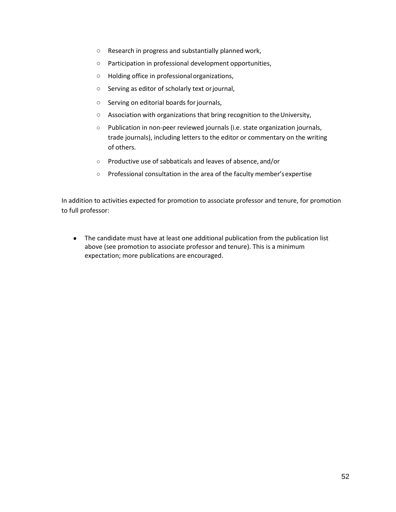- Research in progress and substantially planned work,
- Participation in professional development opportunities,
- Holding office in professionalorganizations,
- Serving as editor of scholarly text orjournal,
- Serving on editorial boards forjournals,
- Association with organizations that bring recognition to the University,
- Publication in non-peer reviewed journals (i.e. state organization journals, trade journals), including letters to the editor or commentary on the writing of others.
- Productive use of sabbaticals and leaves of absence, and/or
- Professional consultation in the area of the faculty member'sexpertise

In addition to activities expected for promotion to associate professor and tenure, for promotion to full professor:

● The candidate must have at least one additional publication from the publication list above (see promotion to associate professor and tenure). This is a minimum expectation; more publications are encouraged.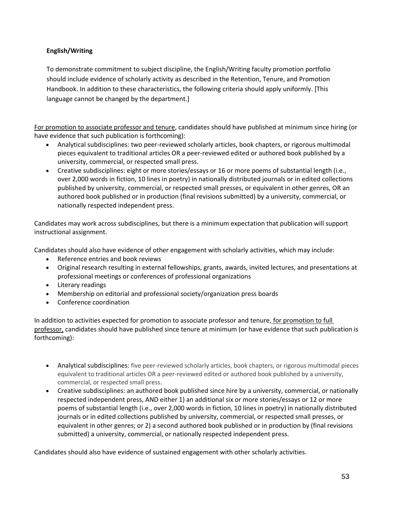# **English/Writing**

To demonstrate commitment to subject discipline, the English/Writing faculty promotion portfolio should include evidence of scholarly activity as described in the Retention, Tenure, and Promotion Handbook. In addition to these characteristics, the following criteria should apply uniformly. [This language cannot be changed by the department.]

For promotion to associate professor and tenure, candidates should have published at minimum since hiring (or have evidence that such publication is forthcoming):

- Analytical subdisciplines: two peer-reviewed scholarly articles, book chapters, or rigorous multimodal pieces equivalent to traditional articles OR a peer-reviewed edited or authored book published by a university, commercial, or respected small press.
- Creative subdisciplines: eight or more stories/essays or 16 or more poems of substantial length (i.e., over 2,000 words in fiction, 10 lines in poetry) in nationally distributed journals or in edited collections published by university, commercial, or respected small presses, or equivalent in other genres, OR an authored book published or in production (final revisions submitted) by a university, commercial, or nationally respected independent press.

Candidates may work across subdisciplines, but there is a minimum expectation that publication will support instructional assignment.

Candidates should also have evidence of other engagement with scholarly activities, which may include:

- Reference entries and book reviews
- Original research resulting in external fellowships, grants, awards, invited lectures, and presentations at professional meetings or conferences of professional organizations
- Literary readings
- Membership on editorial and professional society/organization press boards
- Conference coordination

In addition to activities expected for promotion to associate professor and tenure, for promotion to full professor, candidates should have published since tenure at minimum (or have evidence that such publication is forthcoming):

- Analytical subdisciplines: five peer-reviewed scholarly articles, book chapters, or rigorous multimodal pieces equivalent to traditional articles OR a peer-reviewed edited or authored book published by a university, commercial, or respected small press.
- Creative subdisciplines: an authored book published since hire by a university, commercial, or nationally respected independent press, AND either 1) an additional six or more stories/essays or 12 or more poems of substantial length (i.e., over 2,000 words in fiction, 10 lines in poetry) in nationally distributed journals or in edited collections published by university, commercial, or respected small presses, or equivalent in other genres; or 2) a second authored book published or in production by (final revisions submitted) a university, commercial, or nationally respected independent press.

Candidates should also have evidence of sustained engagement with other scholarly activities.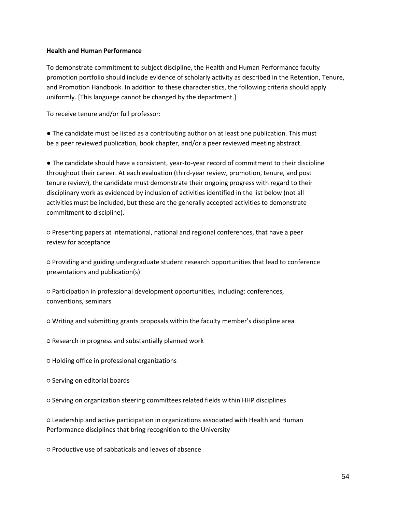## **Health and Human Performance**

To demonstrate commitment to subject discipline, the Health and Human Performance faculty promotion portfolio should include evidence of scholarly activity as described in the Retention, Tenure, and Promotion Handbook. In addition to these characteristics, the following criteria should apply uniformly. [This language cannot be changed by the department.]

To receive tenure and/or full professor:

● The candidate must be listed as a contributing author on at least one publication. This must be a peer reviewed publication, book chapter, and/or a peer reviewed meeting abstract.

● The candidate should have a consistent, year-to-year record of commitment to their discipline throughout their career. At each evaluation (third-year review, promotion, tenure, and post tenure review), the candidate must demonstrate their ongoing progress with regard to their disciplinary work as evidenced by inclusion of activities identified in the list below (not all activities must be included, but these are the generally accepted activities to demonstrate commitment to discipline).

○ Presenting papers at international, national and regional conferences, that have a peer review for acceptance

○ Providing and guiding undergraduate student research opportunities that lead to conference presentations and publication(s)

○ Participation in professional development opportunities, including: conferences, conventions, seminars

○ Writing and submitting grants proposals within the faculty member's discipline area

○ Research in progress and substantially planned work

○ Holding office in professional organizations

○ Serving on editorial boards

○ Serving on organization steering committees related fields within HHP disciplines

○ Leadership and active participation in organizations associated with Health and Human Performance disciplines that bring recognition to the University

○ Productive use of sabbaticals and leaves of absence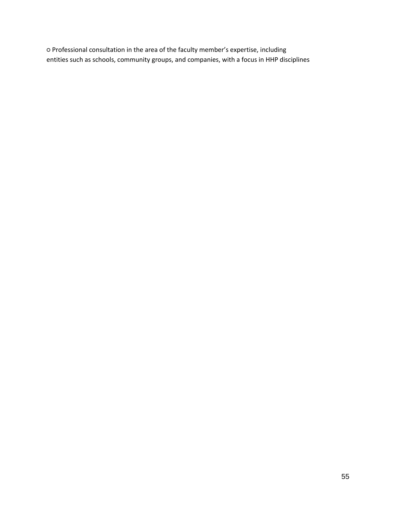○ Professional consultation in the area of the faculty member's expertise, including entities such as schools, community groups, and companies, with a focus in HHP disciplines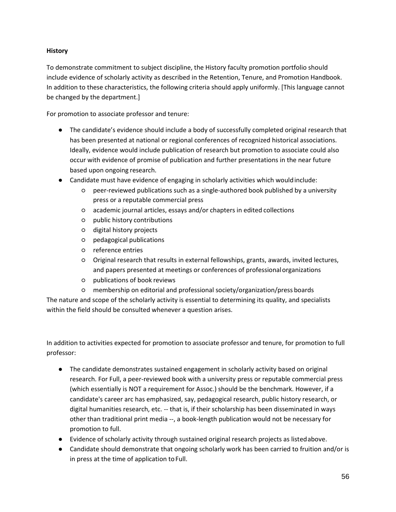# **History**

To demonstrate commitment to subject discipline, the History faculty promotion portfolio should include evidence of scholarly activity as described in the Retention, Tenure, and Promotion Handbook. In addition to these characteristics, the following criteria should apply uniformly. [This language cannot be changed by the department.]

For promotion to associate professor and tenure:

- The candidate's evidence should include a body of successfully completed original research that has been presented at national or regional conferences of recognized historical associations. Ideally, evidence would include publication of research but promotion to associate could also occur with evidence of promise of publication and further presentations in the near future based upon ongoing research.
- Candidate must have evidence of engaging in scholarly activities which wouldinclude:
	- peer-reviewed publications such as a single-authored book published by a university press or a reputable commercial press
	- academic journal articles, essays and/or chapters in edited collections
	- public history contributions
	- digital history projects
	- pedagogical publications
	- reference entries
	- Original research that results in external fellowships, grants, awards, invited lectures, and papers presented at meetings or conferences of professionalorganizations
	- publications of book reviews
	- membership on editorial and professional society/organization/press boards

The nature and scope of the scholarly activity is essential to determining its quality, and specialists within the field should be consulted whenever a question arises.

In addition to activities expected for promotion to associate professor and tenure, for promotion to full professor:

- The candidate demonstrates sustained engagement in scholarly activity based on original research. For Full, a peer-reviewed book with a university press or reputable commercial press (which essentially is NOT a requirement for Assoc.) should be the benchmark. However, if a candidate's career arc has emphasized, say, pedagogical research, public history research, or digital humanities research, etc. -- that is, if their scholarship has been disseminated in ways other than traditional print media --, a book-length publication would not be necessary for promotion to full.
- Evidence of scholarly activity through sustained original research projects as listedabove.
- Candidate should demonstrate that ongoing scholarly work has been carried to fruition and/or is in press at the time of application to Full.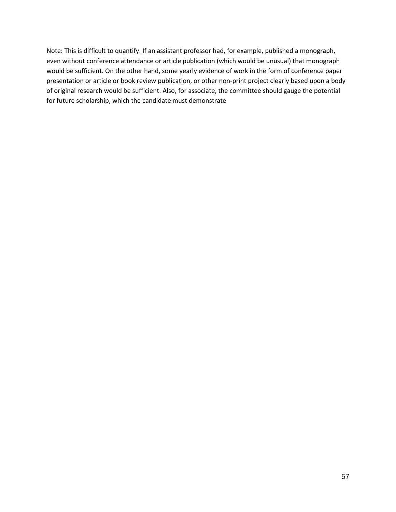Note: This is difficult to quantify. If an assistant professor had, for example, published a monograph, even without conference attendance or article publication (which would be unusual) that monograph would be sufficient. On the other hand, some yearly evidence of work in the form of conference paper presentation or article or book review publication, or other non-print project clearly based upon a body of original research would be sufficient. Also, for associate, the committee should gauge the potential for future scholarship, which the candidate must demonstrate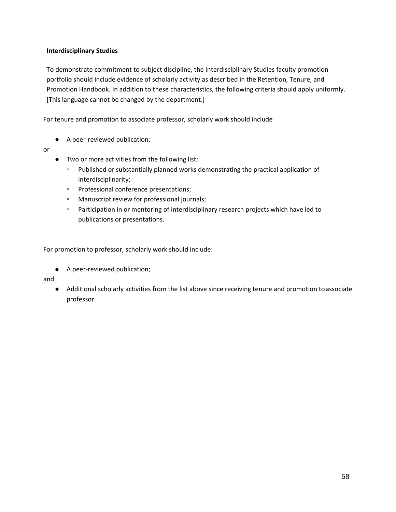# **Interdisciplinary Studies**

To demonstrate commitment to subject discipline, the Interdisciplinary Studies faculty promotion portfolio should include evidence of scholarly activity as described in the Retention, Tenure, and Promotion Handbook. In addition to these characteristics, the following criteria should apply uniformly. [This language cannot be changed by the department.]

For tenure and promotion to associate professor, scholarly work should include

- A peer-reviewed publication;
- or
- Two or more activities from the following list:
	- Published or substantially planned works demonstrating the practical application of interdisciplinarity;
	- Professional conference presentations;
	- Manuscript review for professional journals;
	- Participation in or mentoring of interdisciplinary research projects which have led to publications or presentations.

For promotion to professor, scholarly work should include:

● A peer-reviewed publication;

and

● Additional scholarly activities from the list above since receiving tenure and promotion toassociate professor.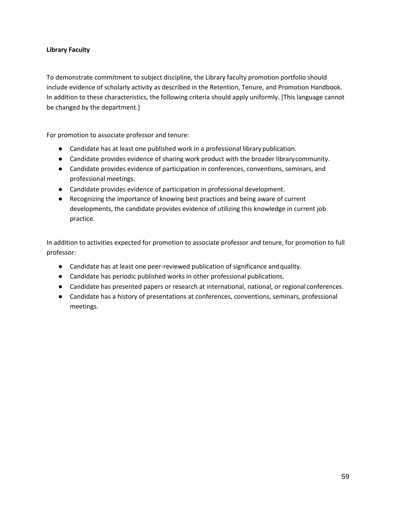# **Library Faculty**

To demonstrate commitment to subject discipline, the Library faculty promotion portfolio should include evidence of scholarly activity as described in the Retention, Tenure, and Promotion Handbook. In addition to these characteristics, the following criteria should apply uniformly. [This language cannot be changed by the department.]

For promotion to associate professor and tenure:

- Candidate has at least one published work in a professional librarypublication.
- Candidate provides evidence of sharing work product with the broader librarycommunity.
- Candidate provides evidence of participation in conferences, conventions, seminars, and professional meetings.
- Candidate provides evidence of participation in professional development.
- Recognizing the importance of knowing best practices and being aware of current developments, the candidate provides evidence of utilizing this knowledge in current job practice.

In addition to activities expected for promotion to associate professor and tenure, for promotion to full professor:

- Candidate has at least one peer-reviewed publication of significance andquality.
- Candidate has periodic published works in other professional publications.
- Candidate has presented papers or research at international, national, or regional conferences.
- Candidate has a history of presentations at conferences, conventions, seminars, professional meetings.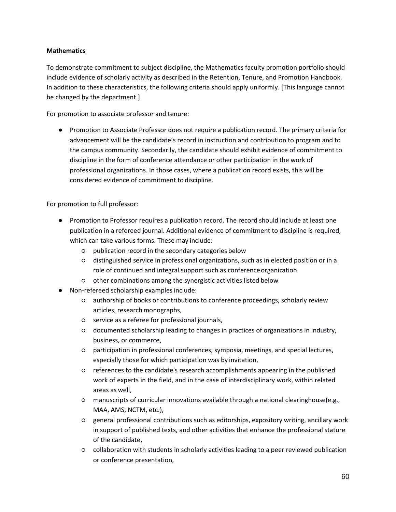# **Mathematics**

To demonstrate commitment to subject discipline, the Mathematics faculty promotion portfolio should include evidence of scholarly activity as described in the Retention, Tenure, and Promotion Handbook. In addition to these characteristics, the following criteria should apply uniformly. [This language cannot be changed by the department.]

For promotion to associate professor and tenure:

● Promotion to Associate Professor does not require a publication record. The primary criteria for advancement will be the candidate's record in instruction and contribution to program and to the campus community. Secondarily, the candidate should exhibit evidence of commitment to discipline in the form of conference attendance or other participation in the work of professional organizations. In those cases, where a publication record exists, this will be considered evidence of commitment to discipline.

For promotion to full professor:

- Promotion to Professor requires a publication record. The record should include at least one publication in a refereed journal. Additional evidence of commitment to discipline is required, which can take various forms. These may include:
	- publication record in the secondary categories below
	- distinguished service in professional organizations, such as in elected position or in a role of continued and integral support such as conference organization
	- other combinations among the synergistic activities listed below
- Non-refereed scholarship examples include:
	- authorship of books or contributions to conference proceedings, scholarly review articles, research monographs,
	- service as a referee for professional journals,
	- documented scholarship leading to changes in practices of organizations in industry, business, or commerce,
	- participation in professional conferences, symposia, meetings, and special lectures, especially those for which participation was by invitation,
	- references to the candidate's research accomplishments appearing in the published work of experts in the field, and in the case of interdisciplinary work, within related areas as well,
	- manuscripts of curricular innovations available through a national clearinghouse(e.g., MAA, AMS, NCTM, etc.),
	- general professional contributions such as editorships, expository writing, ancillary work in support of published texts, and other activities that enhance the professional stature of the candidate,
	- collaboration with students in scholarly activities leading to a peer reviewed publication or conference presentation,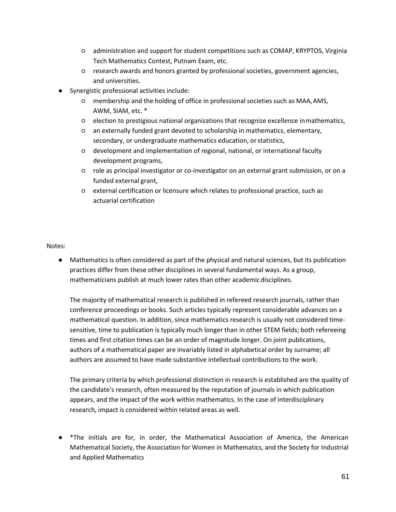- administration and support for student competitions such as COMAP, KRYPTOS, Virginia Tech Mathematics Contest, Putnam Exam, etc.
- research awards and honors granted by professional societies, government agencies, and universities.
- Synergistic professional activities include:
	- membership and the holding of office in professional societies such as MAA,AMS, AWM, SIAM, etc. \*
	- election to prestigious national organizations that recognize excellence inmathematics,
	- an externally funded grant devoted to scholarship in mathematics, elementary, secondary, or undergraduate mathematics education, or statistics,
	- development and implementation of regional, national, or international faculty development programs,
	- role as principal investigator or co-investigator on an external grant submission, or on a funded external grant,
	- external certification or licensure which relates to professional practice, such as actuarial certification

# Notes:

● Mathematics is often considered as part of the physical and natural sciences, but its publication practices differ from these other disciplines in several fundamental ways. As a group, mathematicians publish at much lower rates than other academic disciplines.

The majority of mathematical research is published in refereed research journals, rather than conference proceedings or books. Such articles typically represent considerable advances on a mathematical question. In addition, since mathematics research is usually not considered timesensitive, time to publication is typically much longer than in other STEM fields; both refereeing times and first citation times can be an order of magnitude longer. On joint publications, authors of a mathematical paper are invariably listed in alphabetical order by surname; all authors are assumed to have made substantive intellectual contributions to the work.

The primary criteria by which professional distinction in research is established are the quality of the candidate's research, often measured by the reputation of journals in which publication appears, and the impact of the work within mathematics. In the case of interdisciplinary research, impact is considered within related areas as well.

● \*The initials are for, in order, the Mathematical Association of America, the American Mathematical Society, the Association for Women in Mathematics, and the Society for Industrial and Applied Mathematics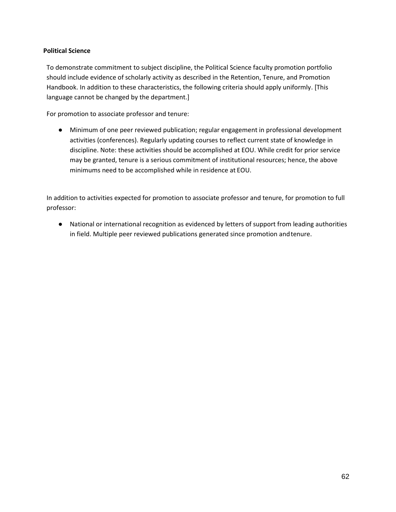# **Political Science**

To demonstrate commitment to subject discipline, the Political Science faculty promotion portfolio should include evidence of scholarly activity as described in the Retention, Tenure, and Promotion Handbook. In addition to these characteristics, the following criteria should apply uniformly. [This language cannot be changed by the department.]

For promotion to associate professor and tenure:

● Minimum of one peer reviewed publication; regular engagement in professional development activities (conferences). Regularly updating courses to reflect current state of knowledge in discipline. Note: these activities should be accomplished at EOU. While credit for prior service may be granted, tenure is a serious commitment of institutional resources; hence, the above minimums need to be accomplished while in residence at EOU.

In addition to activities expected for promotion to associate professor and tenure, for promotion to full professor:

● National or international recognition as evidenced by letters of support from leading authorities in field. Multiple peer reviewed publications generated since promotion andtenure.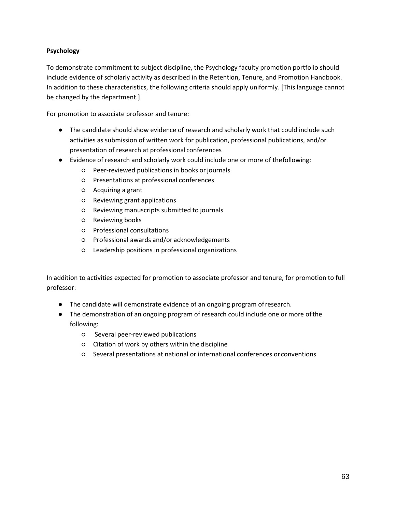# **Psychology**

To demonstrate commitment to subject discipline, the Psychology faculty promotion portfolio should include evidence of scholarly activity as described in the Retention, Tenure, and Promotion Handbook. In addition to these characteristics, the following criteria should apply uniformly. [This language cannot be changed by the department.]

For promotion to associate professor and tenure:

- The candidate should show evidence of research and scholarly work that could include such activities as submission of written work for publication, professional publications, and/or presentation of research at professional conferences
- Evidence of research and scholarly work could include one or more of thefollowing:
	- Peer-reviewed publications in books orjournals
	- Presentations at professional conferences
	- Acquiring a grant
	- Reviewing grant applications
	- Reviewing manuscripts submitted to journals
	- Reviewing books
	- Professional consultations
	- Professional awards and/or acknowledgements
	- Leadership positions in professional organizations

In addition to activities expected for promotion to associate professor and tenure, for promotion to full professor:

- The candidate will demonstrate evidence of an ongoing program ofresearch.
- The demonstration of an ongoing program of research could include one or more ofthe following:
	- Several peer-reviewed publications
	- Citation of work by others within the discipline
	- Several presentations at national or international conferences or conventions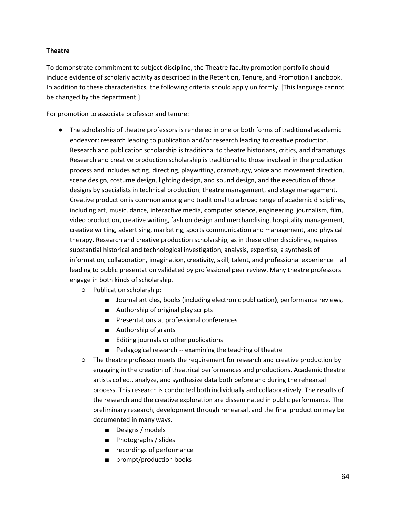# **Theatre**

To demonstrate commitment to subject discipline, the Theatre faculty promotion portfolio should include evidence of scholarly activity as described in the Retention, Tenure, and Promotion Handbook. In addition to these characteristics, the following criteria should apply uniformly. [This language cannot be changed by the department.]

For promotion to associate professor and tenure:

- The scholarship of theatre professors is rendered in one or both forms of traditional academic endeavor: research leading to publication and/or research leading to creative production. Research and publication scholarship is traditional to theatre historians, critics, and dramaturgs. Research and creative production scholarship is traditional to those involved in the production process and includes acting, directing, playwriting, dramaturgy, voice and movement direction, scene design, costume design, lighting design, and sound design, and the execution of those designs by specialists in technical production, theatre management, and stage management. Creative production is common among and traditional to a broad range of academic disciplines, including art, music, dance, interactive media, computer science, engineering, journalism, film, video production, creative writing, fashion design and merchandising, hospitality management, creative writing, advertising, marketing, sports communication and management, and physical therapy. Research and creative production scholarship, as in these other disciplines, requires substantial historical and technological investigation, analysis, expertise, a synthesis of information, collaboration, imagination, creativity, skill, talent, and professional experience—all leading to public presentation validated by professional peer review. Many theatre professors engage in both kinds of scholarship.
	- Publication scholarship:
		- Journal articles, books (including electronic publication), performance reviews,
		- Authorship of original play scripts
		- Presentations at professional conferences
		- Authorship of grants
		- Editing journals or other publications
		- Pedagogical research -- examining the teaching of theatre
	- The theatre professor meets the requirement for research and creative production by engaging in the creation of theatrical performances and productions. Academic theatre artists collect, analyze, and synthesize data both before and during the rehearsal process. This research is conducted both individually and collaboratively. The results of the research and the creative exploration are disseminated in public performance. The preliminary research, development through rehearsal, and the final production may be documented in many ways.
		- Designs / models
		- Photographs / slides
		- recordings of performance
		- prompt/production books